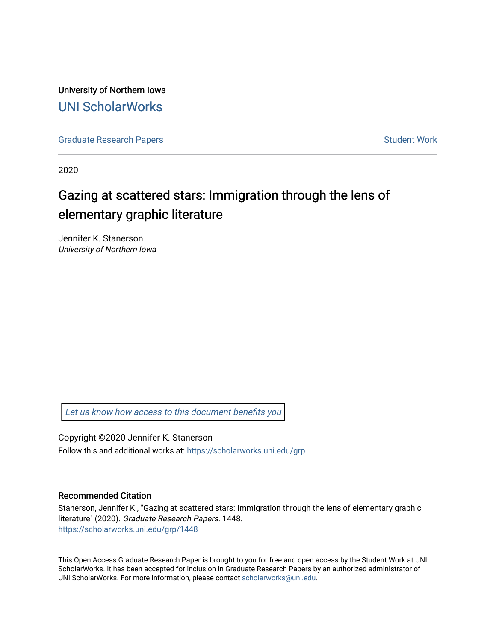University of Northern Iowa [UNI ScholarWorks](https://scholarworks.uni.edu/) 

[Graduate Research Papers](https://scholarworks.uni.edu/grp) **Student Work** Student Work

2020

# Gazing at scattered stars: Immigration through the lens of elementary graphic literature

Jennifer K. Stanerson University of Northern Iowa

[Let us know how access to this document benefits you](https://scholarworks.uni.edu/feedback_form.html) 

Copyright ©2020 Jennifer K. Stanerson Follow this and additional works at: [https://scholarworks.uni.edu/grp](https://scholarworks.uni.edu/grp?utm_source=scholarworks.uni.edu%2Fgrp%2F1448&utm_medium=PDF&utm_campaign=PDFCoverPages) 

#### Recommended Citation

Stanerson, Jennifer K., "Gazing at scattered stars: Immigration through the lens of elementary graphic literature" (2020). Graduate Research Papers. 1448. [https://scholarworks.uni.edu/grp/1448](https://scholarworks.uni.edu/grp/1448?utm_source=scholarworks.uni.edu%2Fgrp%2F1448&utm_medium=PDF&utm_campaign=PDFCoverPages) 

This Open Access Graduate Research Paper is brought to you for free and open access by the Student Work at UNI ScholarWorks. It has been accepted for inclusion in Graduate Research Papers by an authorized administrator of UNI ScholarWorks. For more information, please contact [scholarworks@uni.edu.](mailto:scholarworks@uni.edu)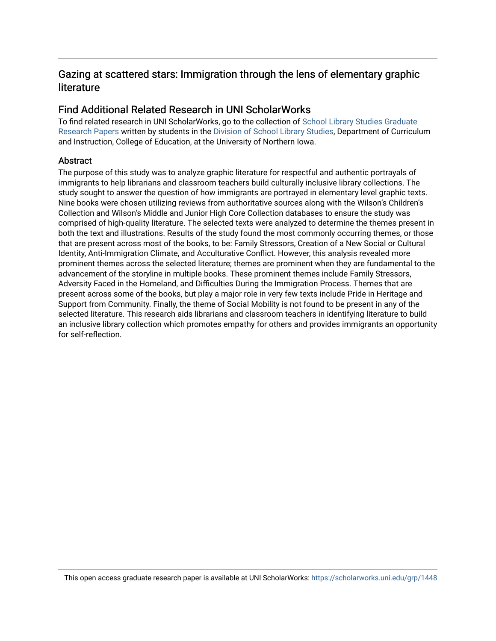# Gazing at scattered stars: Immigration through the lens of elementary graphic literature

# Find Additional Related Research in UNI ScholarWorks

To find related research in UNI ScholarWorks, go to the collection of [School Library Studies Graduate](http://scholarworks.uni.edu/sls_grp/) [Research Papers](http://scholarworks.uni.edu/sls_grp/) written by students in the [Division of School Library Studies,](http://scholarworks.uni.edu/sls/) Department of Curriculum and Instruction, College of Education, at the University of Northern Iowa.

# **Abstract**

The purpose of this study was to analyze graphic literature for respectful and authentic portrayals of immigrants to help librarians and classroom teachers build culturally inclusive library collections. The study sought to answer the question of how immigrants are portrayed in elementary level graphic texts. Nine books were chosen utilizing reviews from authoritative sources along with the Wilson's Children's Collection and Wilson's Middle and Junior High Core Collection databases to ensure the study was comprised of high-quality literature. The selected texts were analyzed to determine the themes present in both the text and illustrations. Results of the study found the most commonly occurring themes, or those that are present across most of the books, to be: Family Stressors, Creation of a New Social or Cultural Identity, Anti-Immigration Climate, and Acculturative Conflict. However, this analysis revealed more prominent themes across the selected literature; themes are prominent when they are fundamental to the advancement of the storyline in multiple books. These prominent themes include Family Stressors, Adversity Faced in the Homeland, and Difficulties During the Immigration Process. Themes that are present across some of the books, but play a major role in very few texts include Pride in Heritage and Support from Community. Finally, the theme of Social Mobility is not found to be present in any of the selected literature. This research aids librarians and classroom teachers in identifying literature to build an inclusive library collection which promotes empathy for others and provides immigrants an opportunity for self-reflection.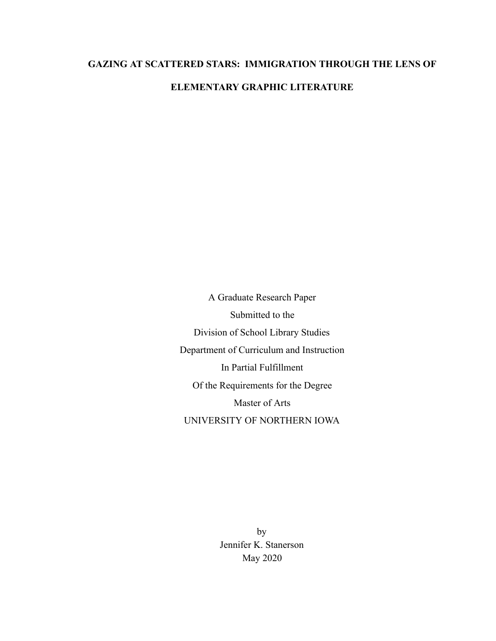# **GAZING AT SCATTERED STARS: IMMIGRATION THROUGH THE LENS OF ELEMENTARY GRAPHIC LITERATURE**

A Graduate Research Paper Submitted to the Division of School Library Studies Department of Curriculum and Instruction In Partial Fulfillment Of the Requirements for the Degree Master of Arts UNIVERSITY OF NORTHERN IOWA

> by Jennifer K. Stanerson May 2020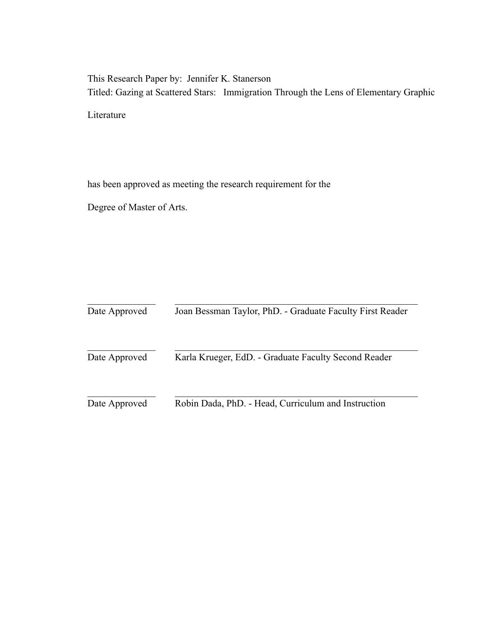This Research Paper by: Jennifer K. Stanerson Titled: Gazing at Scattered Stars: Immigration Through the Lens of Elementary Graphic

Literature

has been approved as meeting the research requirement for the

Degree of Master of Arts.

| Date Approved | Joan Bessman Taylor, PhD. - Graduate Faculty First Reader |
|---------------|-----------------------------------------------------------|
| Date Approved | Karla Krueger, EdD. - Graduate Faculty Second Reader      |
| Date Approved | Robin Dada, PhD. - Head, Curriculum and Instruction       |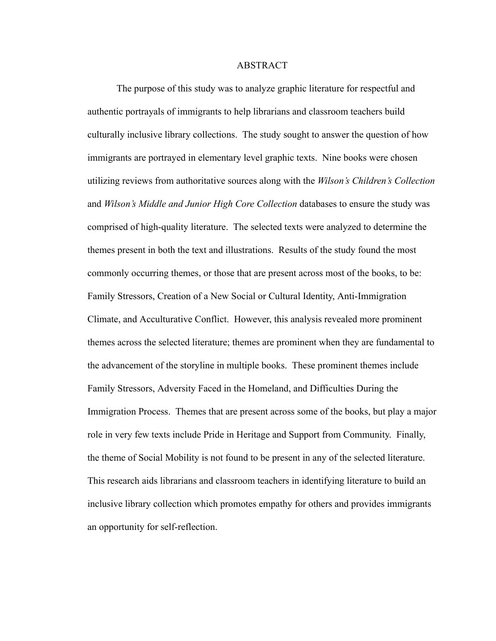#### ABSTRACT

The purpose of this study was to analyze graphic literature for respectful and authentic portrayals of immigrants to help librarians and classroom teachers build culturally inclusive library collections. The study sought to answer the question of how immigrants are portrayed in elementary level graphic texts. Nine books were chosen utilizing reviews from authoritative sources along with the *Wilson's Children's Collection*  and *Wilson's Middle and Junior High Core Collection* databases to ensure the study was comprised of high-quality literature. The selected texts were analyzed to determine the themes present in both the text and illustrations. Results of the study found the most commonly occurring themes, or those that are present across most of the books, to be: Family Stressors, Creation of a New Social or Cultural Identity, Anti-Immigration Climate, and Acculturative Conflict. However, this analysis revealed more prominent themes across the selected literature; themes are prominent when they are fundamental to the advancement of the storyline in multiple books. These prominent themes include Family Stressors, Adversity Faced in the Homeland, and Difficulties During the Immigration Process. Themes that are present across some of the books, but play a major role in very few texts include Pride in Heritage and Support from Community. Finally, the theme of Social Mobility is not found to be present in any of the selected literature. This research aids librarians and classroom teachers in identifying literature to build an inclusive library collection which promotes empathy for others and provides immigrants an opportunity for self-reflection.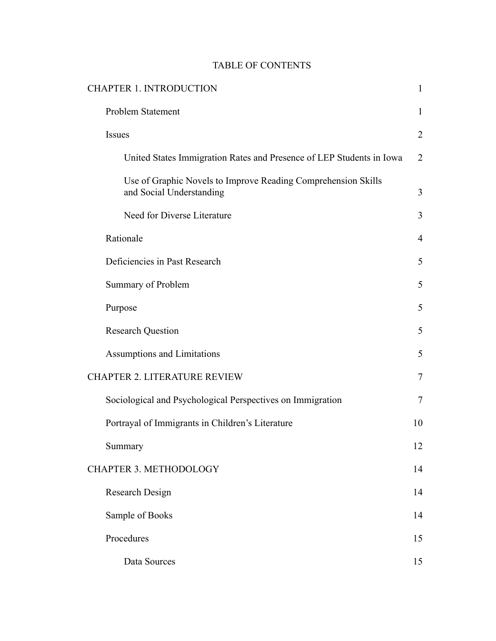# TABLE OF CONTENTS

| <b>CHAPTER 1. INTRODUCTION</b>                                                            | $\mathbf{1}$   |
|-------------------------------------------------------------------------------------------|----------------|
| <b>Problem Statement</b>                                                                  | $\mathbf{1}$   |
| Issues                                                                                    | $\overline{2}$ |
| United States Immigration Rates and Presence of LEP Students in Iowa                      | $\overline{2}$ |
| Use of Graphic Novels to Improve Reading Comprehension Skills<br>and Social Understanding | 3              |
| Need for Diverse Literature                                                               | $\overline{3}$ |
| Rationale                                                                                 | $\overline{4}$ |
| Deficiencies in Past Research                                                             | 5              |
| Summary of Problem                                                                        | 5              |
| Purpose                                                                                   | 5              |
| <b>Research Question</b>                                                                  | 5              |
| <b>Assumptions and Limitations</b>                                                        | 5              |
| CHAPTER 2. LITERATURE REVIEW                                                              | $\tau$         |
| Sociological and Psychological Perspectives on Immigration                                | $\tau$         |
| Portrayal of Immigrants in Children's Literature                                          | 10             |
| Summary                                                                                   | 12             |
| <b>CHAPTER 3. METHODOLOGY</b>                                                             | 14             |
| <b>Research Design</b>                                                                    | 14             |
| Sample of Books                                                                           | 14             |
| Procedures                                                                                | 15             |
| Data Sources                                                                              | 15             |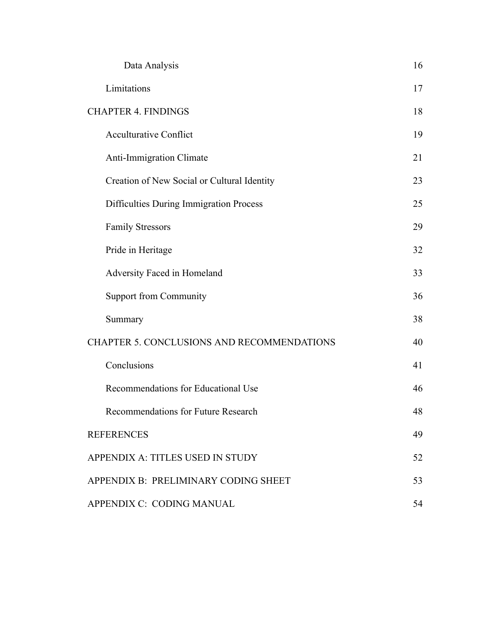| Data Analysis                                     | 16 |
|---------------------------------------------------|----|
| Limitations                                       | 17 |
| <b>CHAPTER 4. FINDINGS</b>                        |    |
| <b>Acculturative Conflict</b>                     | 19 |
| <b>Anti-Immigration Climate</b>                   | 21 |
| Creation of New Social or Cultural Identity       | 23 |
| Difficulties During Immigration Process           | 25 |
| <b>Family Stressors</b>                           | 29 |
| Pride in Heritage                                 | 32 |
| Adversity Faced in Homeland                       | 33 |
| <b>Support from Community</b>                     | 36 |
| Summary                                           | 38 |
| <b>CHAPTER 5. CONCLUSIONS AND RECOMMENDATIONS</b> |    |
| Conclusions                                       | 41 |
| Recommendations for Educational Use               | 46 |
| <b>Recommendations for Future Research</b>        | 48 |
| <b>REFERENCES</b>                                 | 49 |
| APPENDIX A: TITLES USED IN STUDY                  | 52 |
| APPENDIX B: PRELIMINARY CODING SHEET              |    |
| APPENDIX C: CODING MANUAL                         |    |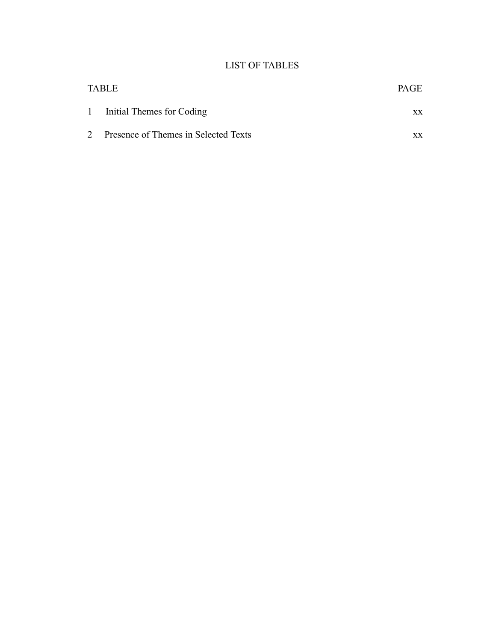# LIST OF TABLES

| <b>TABLE</b>                           | <b>PAGE</b> |
|----------------------------------------|-------------|
| 1 Initial Themes for Coding            | XX          |
| 2 Presence of Themes in Selected Texts | XX.         |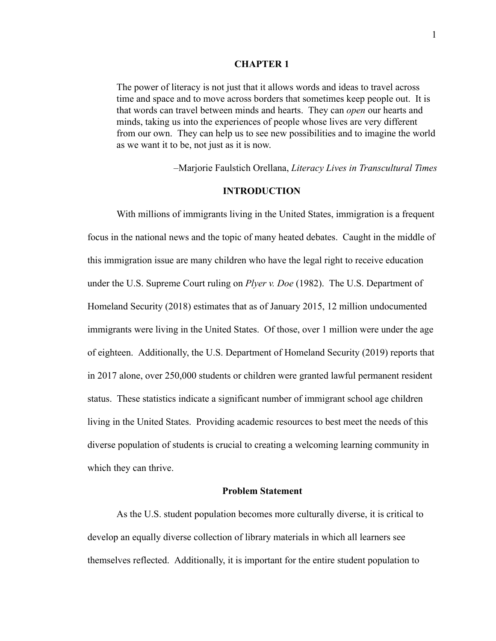#### **CHAPTER 1**

The power of literacy is not just that it allows words and ideas to travel across time and space and to move across borders that sometimes keep people out. It is that words can travel between minds and hearts. They can *open* our hearts and minds, taking us into the experiences of people whose lives are very different from our own. They can help us to see new possibilities and to imagine the world as we want it to be, not just as it is now.

–Marjorie Faulstich Orellana, *Literacy Lives in Transcultural Times* 

#### **INTRODUCTION**

With millions of immigrants living in the United States, immigration is a frequent focus in the national news and the topic of many heated debates. Caught in the middle of this immigration issue are many children who have the legal right to receive education under the U.S. Supreme Court ruling on *Plyer v. Doe* (1982). The U.S. Department of Homeland Security (2018) estimates that as of January 2015, 12 million undocumented immigrants were living in the United States. Of those, over 1 million were under the age of eighteen. Additionally, the U.S. Department of Homeland Security (2019) reports that in 2017 alone, over 250,000 students or children were granted lawful permanent resident status. These statistics indicate a significant number of immigrant school age children living in the United States. Providing academic resources to best meet the needs of this diverse population of students is crucial to creating a welcoming learning community in which they can thrive.

## **Problem Statement**

As the U.S. student population becomes more culturally diverse, it is critical to develop an equally diverse collection of library materials in which all learners see themselves reflected. Additionally, it is important for the entire student population to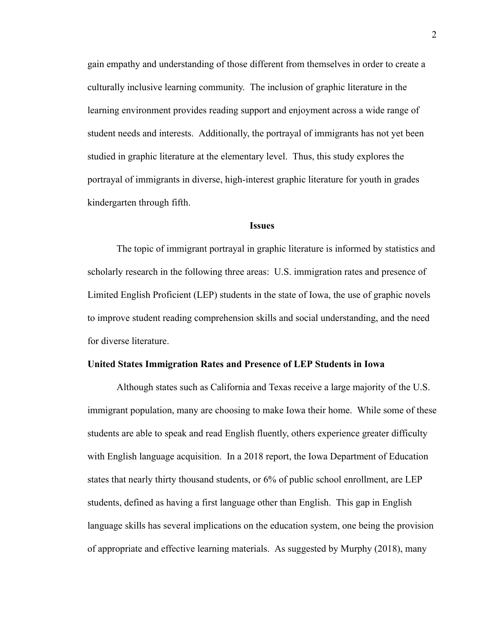gain empathy and understanding of those different from themselves in order to create a culturally inclusive learning community. The inclusion of graphic literature in the learning environment provides reading support and enjoyment across a wide range of student needs and interests. Additionally, the portrayal of immigrants has not yet been studied in graphic literature at the elementary level. Thus, this study explores the portrayal of immigrants in diverse, high-interest graphic literature for youth in grades kindergarten through fifth.

#### **Issues**

The topic of immigrant portrayal in graphic literature is informed by statistics and scholarly research in the following three areas: U.S. immigration rates and presence of Limited English Proficient (LEP) students in the state of Iowa, the use of graphic novels to improve student reading comprehension skills and social understanding, and the need for diverse literature.

#### **United States Immigration Rates and Presence of LEP Students in Iowa**

Although states such as California and Texas receive a large majority of the U.S. immigrant population, many are choosing to make Iowa their home. While some of these students are able to speak and read English fluently, others experience greater difficulty with English language acquisition. In a 2018 report, the Iowa Department of Education states that nearly thirty thousand students, or 6% of public school enrollment, are LEP students, defined as having a first language other than English. This gap in English language skills has several implications on the education system, one being the provision of appropriate and effective learning materials. As suggested by Murphy (2018), many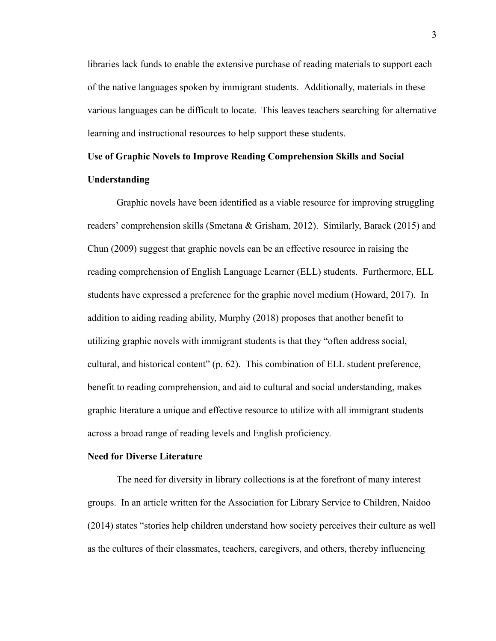libraries lack funds to enable the extensive purchase of reading materials to support each of the native languages spoken by immigrant students. Additionally, materials in these various languages can be difficult to locate. This leaves teachers searching for alternative learning and instructional resources to help support these students.

# **Use of Graphic Novels to Improve Reading Comprehension Skills and Social Understanding**

Graphic novels have been identified as a viable resource for improving struggling readers' comprehension skills (Smetana & Grisham, 2012). Similarly, Barack (2015) and Chun (2009) suggest that graphic novels can be an effective resource in raising the reading comprehension of English Language Learner (ELL) students. Furthermore, ELL students have expressed a preference for the graphic novel medium (Howard, 2017). In addition to aiding reading ability, Murphy (2018) proposes that another benefit to utilizing graphic novels with immigrant students is that they "often address social, cultural, and historical content" (p. 62). This combination of ELL student preference, benefit to reading comprehension, and aid to cultural and social understanding, makes graphic literature a unique and effective resource to utilize with all immigrant students across a broad range of reading levels and English proficiency.

#### **Need for Diverse Literature**

The need for diversity in library collections is at the forefront of many interest groups. In an article written for the Association for Library Service to Children, Naidoo (2014) states "stories help children understand how society perceives their culture as well as the cultures of their classmates, teachers, caregivers, and others, thereby influencing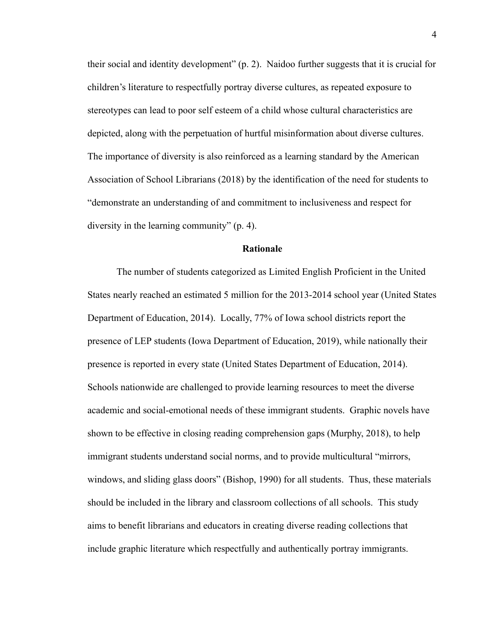their social and identity development" (p. 2). Naidoo further suggests that it is crucial for children's literature to respectfully portray diverse cultures, as repeated exposure to stereotypes can lead to poor self esteem of a child whose cultural characteristics are depicted, along with the perpetuation of hurtful misinformation about diverse cultures. The importance of diversity is also reinforced as a learning standard by the American Association of School Librarians (2018) by the identification of the need for students to "demonstrate an understanding of and commitment to inclusiveness and respect for diversity in the learning community" (p. 4).

#### **Rationale**

The number of students categorized as Limited English Proficient in the United States nearly reached an estimated 5 million for the 2013-2014 school year (United States Department of Education, 2014). Locally, 77% of Iowa school districts report the presence of LEP students (Iowa Department of Education, 2019), while nationally their presence is reported in every state (United States Department of Education, 2014). Schools nationwide are challenged to provide learning resources to meet the diverse academic and social-emotional needs of these immigrant students. Graphic novels have shown to be effective in closing reading comprehension gaps (Murphy, 2018), to help immigrant students understand social norms, and to provide multicultural "mirrors, windows, and sliding glass doors" (Bishop, 1990) for all students. Thus, these materials should be included in the library and classroom collections of all schools. This study aims to benefit librarians and educators in creating diverse reading collections that include graphic literature which respectfully and authentically portray immigrants.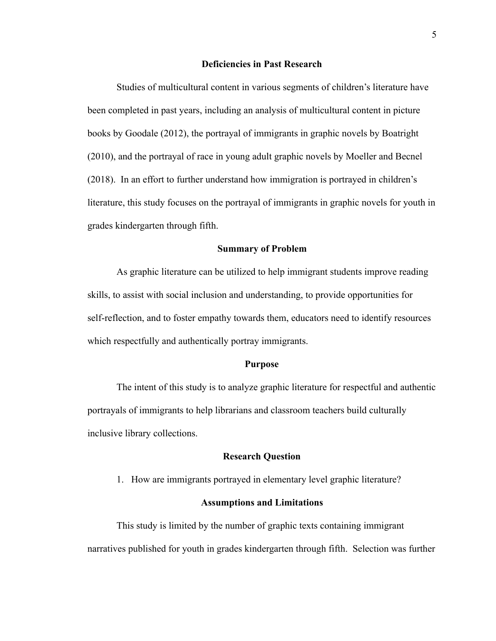#### **Deficiencies in Past Research**

Studies of multicultural content in various segments of children's literature have been completed in past years, including an analysis of multicultural content in picture books by Goodale (2012), the portrayal of immigrants in graphic novels by Boatright (2010), and the portrayal of race in young adult graphic novels by Moeller and Becnel (2018). In an effort to further understand how immigration is portrayed in children's literature, this study focuses on the portrayal of immigrants in graphic novels for youth in grades kindergarten through fifth.

#### **Summary of Problem**

As graphic literature can be utilized to help immigrant students improve reading skills, to assist with social inclusion and understanding, to provide opportunities for self-reflection, and to foster empathy towards them, educators need to identify resources which respectfully and authentically portray immigrants.

#### **Purpose**

The intent of this study is to analyze graphic literature for respectful and authentic portrayals of immigrants to help librarians and classroom teachers build culturally inclusive library collections.

#### **Research Question**

1. How are immigrants portrayed in elementary level graphic literature?

#### **Assumptions and Limitations**

This study is limited by the number of graphic texts containing immigrant narratives published for youth in grades kindergarten through fifth. Selection was further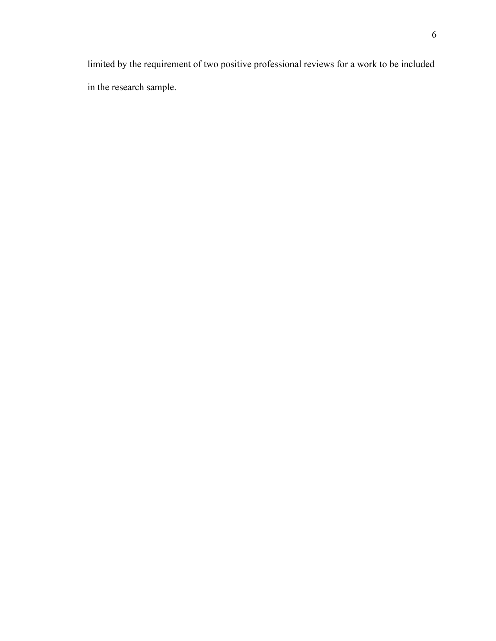limited by the requirement of two positive professional reviews for a work to be included in the research sample.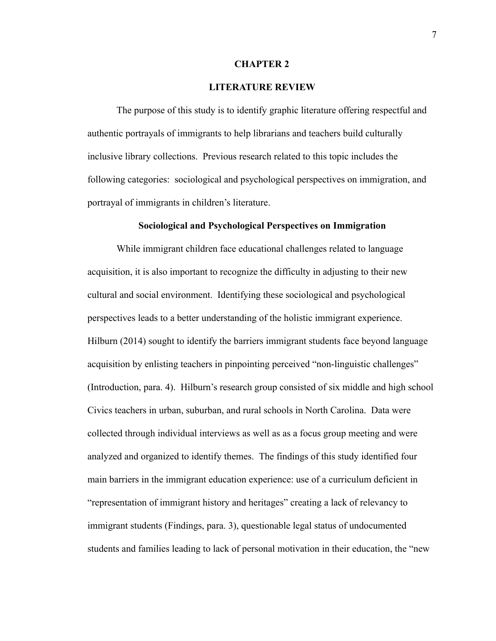#### **CHAPTER 2**

#### **LITERATURE REVIEW**

The purpose of this study is to identify graphic literature offering respectful and authentic portrayals of immigrants to help librarians and teachers build culturally inclusive library collections. Previous research related to this topic includes the following categories: sociological and psychological perspectives on immigration, and portrayal of immigrants in children's literature.

#### **Sociological and Psychological Perspectives on Immigration**

While immigrant children face educational challenges related to language acquisition, it is also important to recognize the difficulty in adjusting to their new cultural and social environment. Identifying these sociological and psychological perspectives leads to a better understanding of the holistic immigrant experience. Hilburn (2014) sought to identify the barriers immigrant students face beyond language acquisition by enlisting teachers in pinpointing perceived "non-linguistic challenges" (Introduction, para. 4). Hilburn's research group consisted of six middle and high school Civics teachers in urban, suburban, and rural schools in North Carolina. Data were collected through individual interviews as well as as a focus group meeting and were analyzed and organized to identify themes. The findings of this study identified four main barriers in the immigrant education experience: use of a curriculum deficient in "representation of immigrant history and heritages" creating a lack of relevancy to immigrant students (Findings, para. 3), questionable legal status of undocumented students and families leading to lack of personal motivation in their education, the "new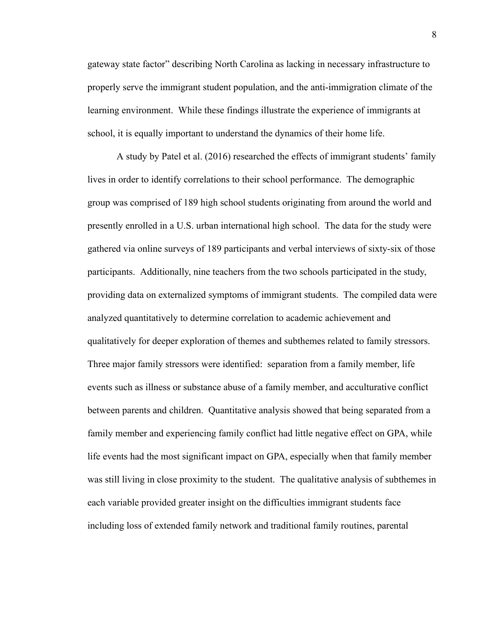gateway state factor" describing North Carolina as lacking in necessary infrastructure to properly serve the immigrant student population, and the anti-immigration climate of the learning environment. While these findings illustrate the experience of immigrants at school, it is equally important to understand the dynamics of their home life.

A study by Patel et al. (2016) researched the effects of immigrant students' family lives in order to identify correlations to their school performance. The demographic group was comprised of 189 high school students originating from around the world and presently enrolled in a U.S. urban international high school. The data for the study were gathered via online surveys of 189 participants and verbal interviews of sixty-six of those participants. Additionally, nine teachers from the two schools participated in the study, providing data on externalized symptoms of immigrant students. The compiled data were analyzed quantitatively to determine correlation to academic achievement and qualitatively for deeper exploration of themes and subthemes related to family stressors. Three major family stressors were identified: separation from a family member, life events such as illness or substance abuse of a family member, and acculturative conflict between parents and children. Quantitative analysis showed that being separated from a family member and experiencing family conflict had little negative effect on GPA, while life events had the most significant impact on GPA, especially when that family member was still living in close proximity to the student. The qualitative analysis of subthemes in each variable provided greater insight on the difficulties immigrant students face including loss of extended family network and traditional family routines, parental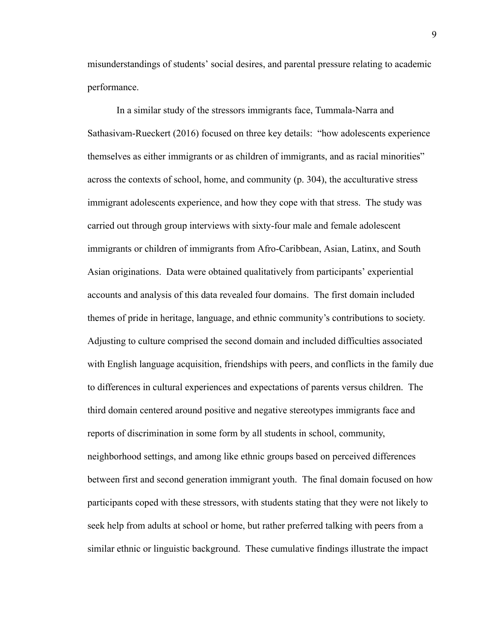misunderstandings of students' social desires, and parental pressure relating to academic performance.

In a similar study of the stressors immigrants face, Tummala-Narra and Sathasivam-Rueckert (2016) focused on three key details: "how adolescents experience themselves as either immigrants or as children of immigrants, and as racial minorities" across the contexts of school, home, and community (p. 304), the acculturative stress immigrant adolescents experience, and how they cope with that stress. The study was carried out through group interviews with sixty-four male and female adolescent immigrants or children of immigrants from Afro-Caribbean, Asian, Latinx, and South Asian originations. Data were obtained qualitatively from participants' experiential accounts and analysis of this data revealed four domains. The first domain included themes of pride in heritage, language, and ethnic community's contributions to society. Adjusting to culture comprised the second domain and included difficulties associated with English language acquisition, friendships with peers, and conflicts in the family due to differences in cultural experiences and expectations of parents versus children. The third domain centered around positive and negative stereotypes immigrants face and reports of discrimination in some form by all students in school, community, neighborhood settings, and among like ethnic groups based on perceived differences between first and second generation immigrant youth. The final domain focused on how participants coped with these stressors, with students stating that they were not likely to seek help from adults at school or home, but rather preferred talking with peers from a similar ethnic or linguistic background. These cumulative findings illustrate the impact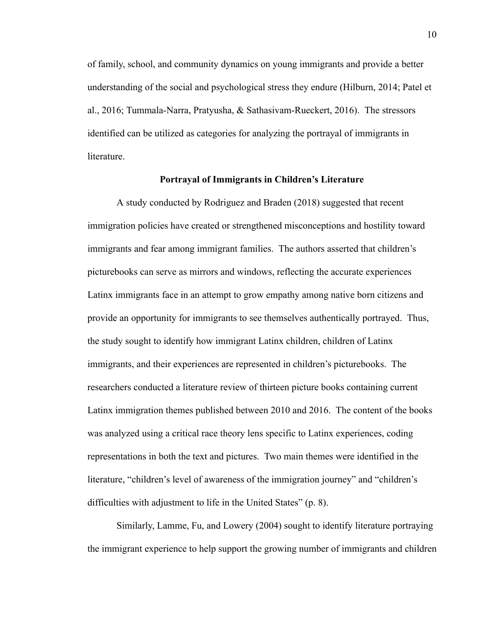of family, school, and community dynamics on young immigrants and provide a better understanding of the social and psychological stress they endure (Hilburn, 2014; Patel et al., 2016; Tummala-Narra, Pratyusha, & Sathasivam-Rueckert, 2016) . The stressors identified can be utilized as categories for analyzing the portrayal of immigrants in literature.

#### **Portrayal of Immigrants in Children's Literature**

A study conducted by Rodriguez and Braden (2018) suggested that recent immigration policies have created or strengthened misconceptions and hostility toward immigrants and fear among immigrant families. The authors asserted that children's picturebooks can serve as mirrors and windows, reflecting the accurate experiences Latinx immigrants face in an attempt to grow empathy among native born citizens and provide an opportunity for immigrants to see themselves authentically portrayed. Thus, the study sought to identify how immigrant Latinx children, children of Latinx immigrants, and their experiences are represented in children's picturebooks. The researchers conducted a literature review of thirteen picture books containing current Latinx immigration themes published between 2010 and 2016. The content of the books was analyzed using a critical race theory lens specific to Latinx experiences, coding representations in both the text and pictures. Two main themes were identified in the literature, "children's level of awareness of the immigration journey" and "children's difficulties with adjustment to life in the United States" (p. 8).

Similarly, Lamme, Fu, and Lowery (2004) sought to identify literature portraying the immigrant experience to help support the growing number of immigrants and children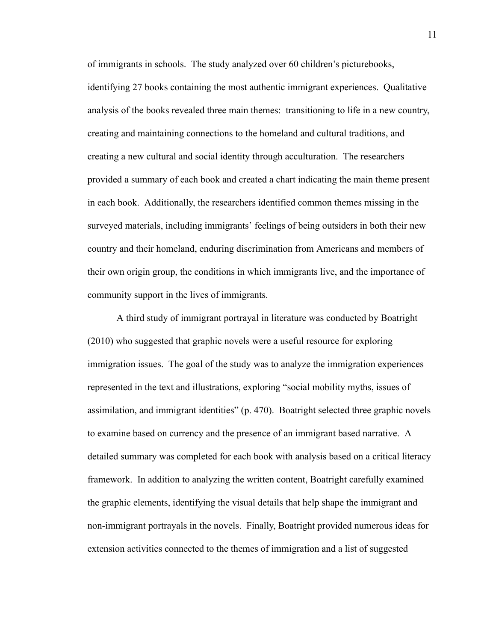of immigrants in schools. The study analyzed over 60 children's picturebooks, identifying 27 books containing the most authentic immigrant experiences. Qualitative analysis of the books revealed three main themes: transitioning to life in a new country, creating and maintaining connections to the homeland and cultural traditions, and creating a new cultural and social identity through acculturation. The researchers provided a summary of each book and created a chart indicating the main theme present in each book. Additionally, the researchers identified common themes missing in the surveyed materials, including immigrants' feelings of being outsiders in both their new country and their homeland, enduring discrimination from Americans and members of their own origin group, the conditions in which immigrants live, and the importance of community support in the lives of immigrants.

A third study of immigrant portrayal in literature was conducted by Boatright (2010) who suggested that graphic novels were a useful resource for exploring immigration issues. The goal of the study was to analyze the immigration experiences represented in the text and illustrations, exploring "social mobility myths, issues of assimilation, and immigrant identities" (p. 470). Boatright selected three graphic novels to examine based on currency and the presence of an immigrant based narrative. A detailed summary was completed for each book with analysis based on a critical literacy framework. In addition to analyzing the written content, Boatright carefully examined the graphic elements, identifying the visual details that help shape the immigrant and non-immigrant portrayals in the novels. Finally, Boatright provided numerous ideas for extension activities connected to the themes of immigration and a list of suggested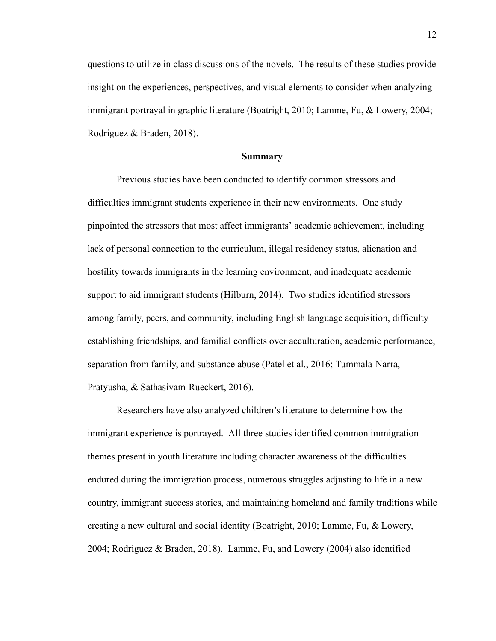questions to utilize in class discussions of the novels. The results of these studies provide insight on the experiences, perspectives, and visual elements to consider when analyzing immigrant portrayal in graphic literature (Boatright, 2010; Lamme, Fu, & Lowery, 2004; Rodriguez & Braden, 2018).

#### **Summary**

Previous studies have been conducted to identify common stressors and difficulties immigrant students experience in their new environments. One study pinpointed the stressors that most affect immigrants' academic achievement, including lack of personal connection to the curriculum, illegal residency status, alienation and hostility towards immigrants in the learning environment, and inadequate academic support to aid immigrant students (Hilburn, 2014). Two studies identified stressors among family, peers, and community, including English language acquisition, difficulty establishing friendships, and familial conflicts over acculturation, academic performance, separation from family, and substance abuse ( Patel et al., 2016; Tummala-Narra, Pratyusha, & Sathasivam-Rueckert, 2016) .

Researchers have also analyzed children's literature to determine how the immigrant experience is portrayed. All three studies identified common immigration themes present in youth literature including character awareness of the difficulties endured during the immigration process, numerous struggles adjusting to life in a new country, immigrant success stories, and maintaining homeland and family traditions while creating a new cultural and social identity (Boatright, 2010; Lamme, Fu, & Lowery, 2004; Rodriguez & Braden, 2018). Lamme, Fu, and Lowery (2004) also identified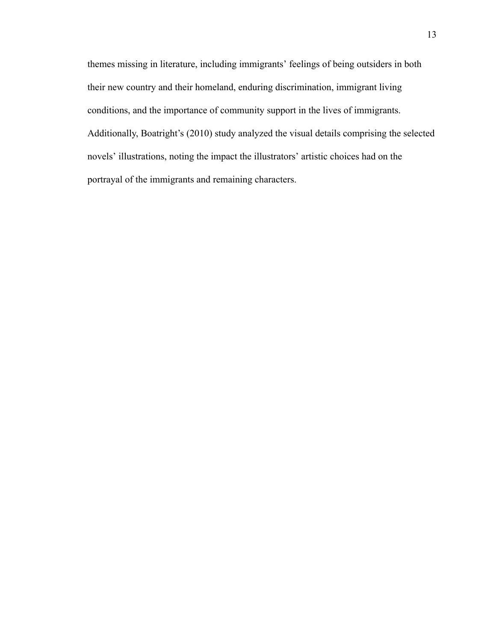themes missing in literature, including immigrants' feelings of being outsiders in both their new country and their homeland, enduring discrimination, immigrant living conditions, and the importance of community support in the lives of immigrants. Additionally, Boatright's (2010) study analyzed the visual details comprising the selected novels' illustrations, noting the impact the illustrators' artistic choices had on the portrayal of the immigrants and remaining characters.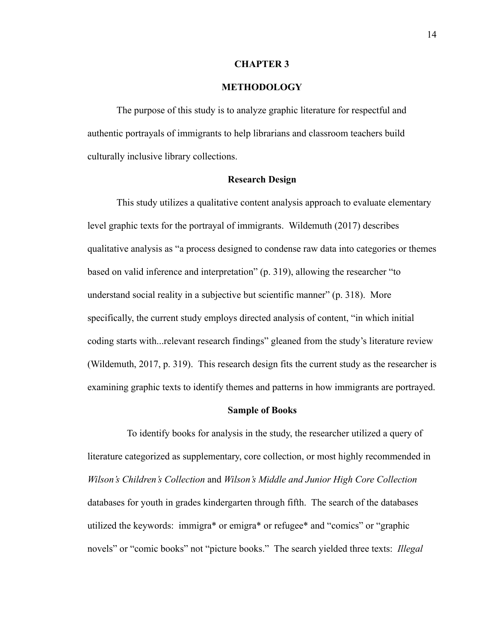#### **CHAPTER 3**

#### **METHODOLOGY**

The purpose of this study is to analyze graphic literature for respectful and authentic portrayals of immigrants to help librarians and classroom teachers build culturally inclusive library collections.

#### **Research Design**

This study utilizes a qualitative content analysis approach to evaluate elementary level graphic texts for the portrayal of immigrants. Wildemuth (2017) describes qualitative analysis as "a process designed to condense raw data into categories or themes based on valid inference and interpretation" (p. 319), allowing the researcher "to understand social reality in a subjective but scientific manner" (p. 318). More specifically, the current study employs directed analysis of content, "in which initial coding starts with...relevant research findings" gleaned from the study's literature review (Wildemuth, 2017, p. 319). This research design fits the current study as the researcher is examining graphic texts to identify themes and patterns in how immigrants are portrayed.

#### **Sample of Books**

To identify books for analysis in the study, the researcher utilized a query of literature categorized as supplementary, core collection, or most highly recommended in *Wilson's Children's Collection* and *Wilson's Middle and Junior High Core Collection*  databases for youth in grades kindergarten through fifth. The search of the databases utilized the keywords: immigra\* or emigra\* or refugee\* and "comics" or "graphic novels" or "comic books" not "picture books." The search yielded three texts: *Illegal*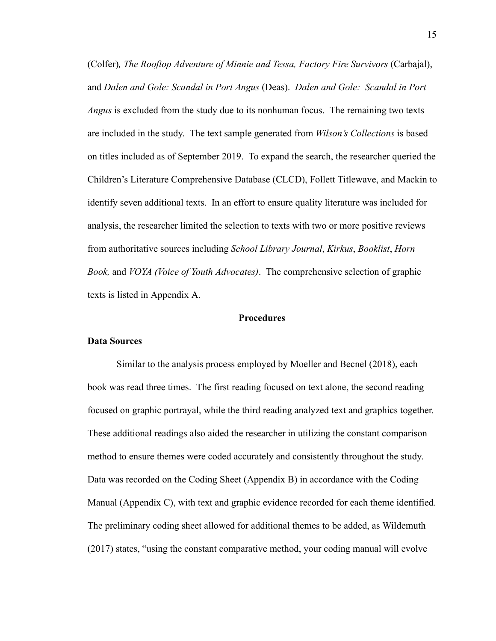(Colfer) *, The Rooftop Adventure of Minnie and Tessa, Factory Fire Survivors* (Carbajal), and *Dalen and Gole: Scandal in Port Angus* (Deas). *Dalen and Gole: Scandal in Port Angus* is excluded from the study due to its nonhuman focus. The remaining two texts are included in the study. The text sample generated from *Wilson's Collections* is based on titles included as of September 2019. To expand the search, the researcher queried the Children's Literature Comprehensive Database (CLCD), Follett Titlewave, and Mackin to identify seven additional texts. In an effort to ensure quality literature was included for analysis, the researcher limited the selection to texts with two or more positive reviews from authoritative sources including *School Library Journal* , *Kirkus* , *Booklist* , *Horn Book,* and *VOYA (Voice of Youth Advocates)* . The comprehensive selection of graphic texts is listed in Appendix A.

#### **Procedures**

#### **Data Sources**

Similar to the analysis process employed by Moeller and Becnel (2018), each book was read three times. The first reading focused on text alone, the second reading focused on graphic portrayal, while the third reading analyzed text and graphics together. These additional readings also aided the researcher in utilizing the constant comparison method to ensure themes were coded accurately and consistently throughout the study. Data was recorded on the Coding Sheet (Appendix B) in accordance with the Coding Manual (Appendix C), with text and graphic evidence recorded for each theme identified. The preliminary coding sheet allowed for additional themes to be added, as Wildemuth (2017) states, "using the constant comparative method, your coding manual will evolve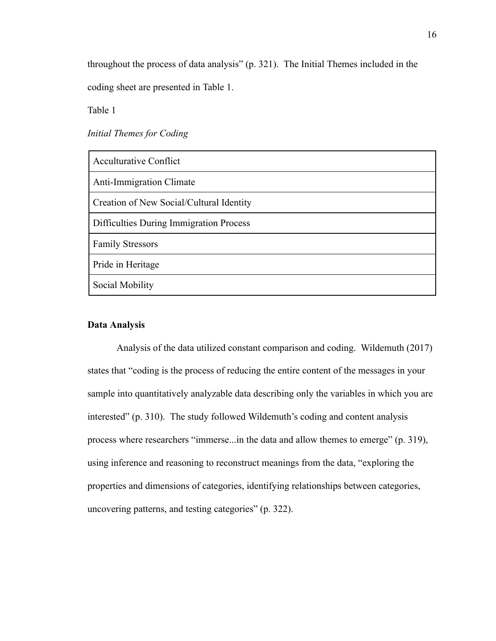throughout the process of data analysis" (p. 321). The Initial Themes included in the coding sheet are presented in Table 1.

Table 1

*Initial Themes for Coding* 

| <b>Acculturative Conflict</b>            |
|------------------------------------------|
| <b>Anti-Immigration Climate</b>          |
| Creation of New Social/Cultural Identity |
| Difficulties During Immigration Process  |
| <b>Family Stressors</b>                  |
| Pride in Heritage                        |
| Social Mobility                          |

## **Data Analysis**

Analysis of the data utilized constant comparison and coding. Wildemuth (2017) states that "coding is the process of reducing the entire content of the messages in your sample into quantitatively analyzable data describing only the variables in which you are interested" (p. 310). The study followed Wildemuth's coding and content analysis process where researchers "immerse...in the data and allow themes to emerge" (p. 319), using inference and reasoning to reconstruct meanings from the data, "exploring the properties and dimensions of categories, identifying relationships between categories, uncovering patterns, and testing categories" (p. 322).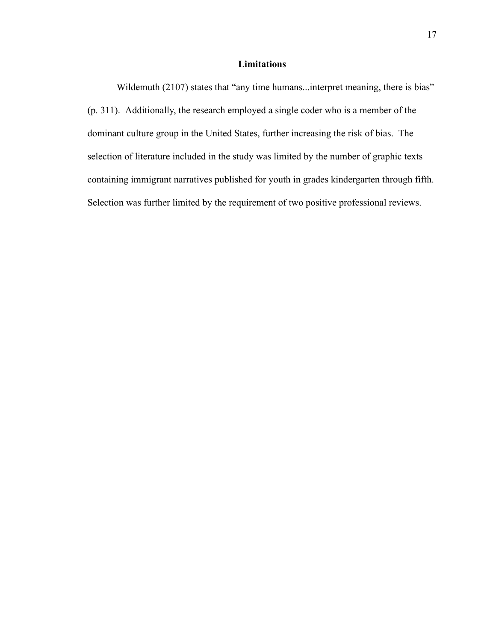# **Limitations**

Wildemuth (2107) states that "any time humans...interpret meaning, there is bias" (p. 311). Additionally, the research employed a single coder who is a member of the dominant culture group in the United States, further increasing the risk of bias. The selection of literature included in the study was limited by the number of graphic texts containing immigrant narratives published for youth in grades kindergarten through fifth. Selection was further limited by the requirement of two positive professional reviews.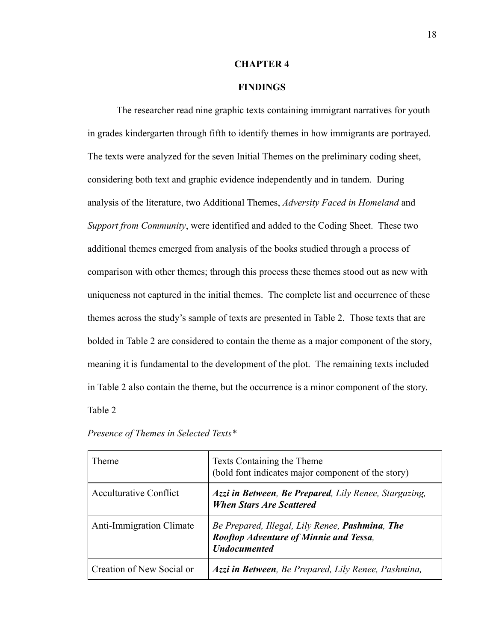#### **CHAPTER 4**

### **FINDINGS**

The researcher read nine graphic texts containing immigrant narratives for youth in grades kindergarten through fifth to identify themes in how immigrants are portrayed. The texts were analyzed for the seven Initial Themes on the preliminary coding sheet, considering both text and graphic evidence independently and in tandem. During analysis of the literature, two Additional Themes, *Adversity Faced in Homeland* and *Support from Community*, were identified and added to the Coding Sheet. These two additional themes emerged from analysis of the books studied through a process of comparison with other themes; through this process these themes stood out as new with uniqueness not captured in the initial themes. The complete list and occurrence of these themes across the study's sample of texts are presented in Table 2. Those texts that are bolded in Table 2 are considered to contain the theme as a major component of the story, meaning it is fundamental to the development of the plot. The remaining texts included in Table 2 also contain the theme, but the occurrence is a minor component of the story. Table 2

| Theme                           | Texts Containing the Theme<br>(bold font indicates major component of the story)                                         |
|---------------------------------|--------------------------------------------------------------------------------------------------------------------------|
| Acculturative Conflict          | Azzi in Between, Be Prepared, Lily Renee, Stargazing,<br><b>When Stars Are Scattered</b>                                 |
| <b>Anti-Immigration Climate</b> | Be Prepared, Illegal, Lily Renee, <b>Pashmina</b> , The<br>Rooftop Adventure of Minnie and Tessa,<br><b>Undocumented</b> |
| Creation of New Social or       | Azzi in Between, Be Prepared, Lily Renee, Pashmina,                                                                      |

*Presence of Themes in Selected Texts\**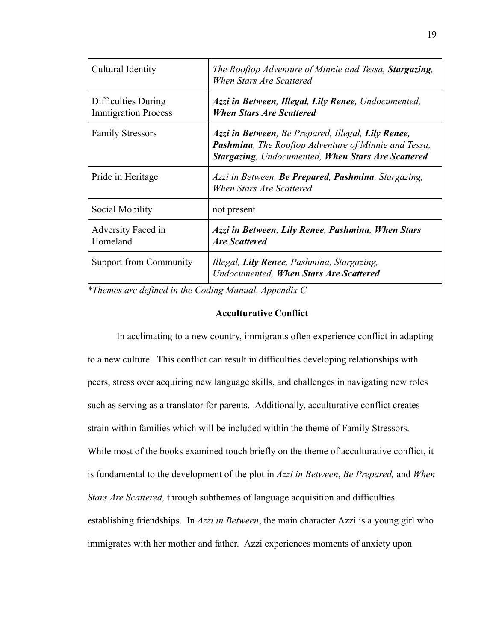| Cultural Identity                                 | The Rooftop Adventure of Minnie and Tessa, <b>Stargazing</b> ,<br>When Stars Are Scattered                                                                                      |  |
|---------------------------------------------------|---------------------------------------------------------------------------------------------------------------------------------------------------------------------------------|--|
| Difficulties During<br><b>Immigration Process</b> | Azzi in Between, Illegal, Lily Renee, Undocumented,<br><b>When Stars Are Scattered</b>                                                                                          |  |
| <b>Family Stressors</b>                           | Azzi in Between, Be Prepared, Illegal, Lily Renee,<br><b>Pashmina</b> , The Rooftop Adventure of Minnie and Tessa,<br><b>Stargazing, Undocumented, When Stars Are Scattered</b> |  |
| Pride in Heritage                                 | Azzi in Between, Be Prepared, Pashmina, Stargazing,<br>When Stars Are Scattered                                                                                                 |  |
| Social Mobility                                   | not present                                                                                                                                                                     |  |
| Adversity Faced in<br>Homeland                    | Azzi in Between, Lily Renee, Pashmina, When Stars<br><b>Are Scattered</b>                                                                                                       |  |
| <b>Support from Community</b>                     | Illegal, Lily Renee, Pashmina, Stargazing,<br><b>Undocumented, When Stars Are Scattered</b>                                                                                     |  |

*\*Themes are defined in the Coding Manual, Appendix C* 

## **Acculturative Conflict**

In acclimating to a new country, immigrants often experience conflict in adapting to a new culture. This conflict can result in difficulties developing relationships with peers, stress over acquiring new language skills, and challenges in navigating new roles such as serving as a translator for parents. Additionally, acculturative conflict creates strain within families which will be included within the theme of Family Stressors. While most of the books examined touch briefly on the theme of acculturative conflict, it is fundamental to the development of the plot in *Azzi in Between* , *Be Prepared,* and *When Stars Are Scattered,* through subthemes of language acquisition and difficulties establishing friendships. In *Azzi in Between* , the main character Azzi is a young girl who immigrates with her mother and father. Azzi experiences moments of anxiety upon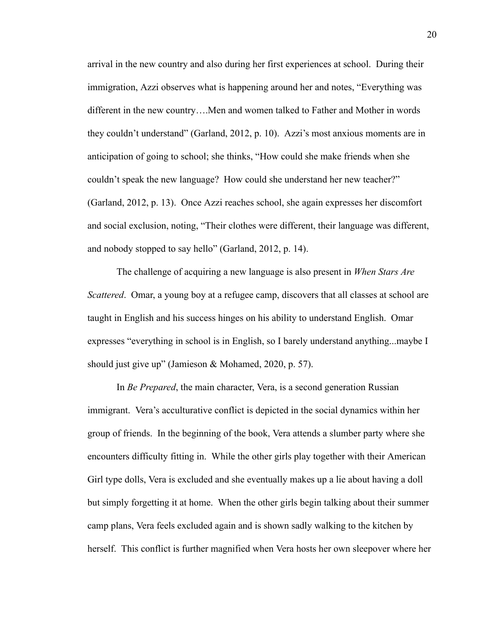arrival in the new country and also during her first experiences at school. During their immigration, Azzi observes what is happening around her and notes, "Everything was different in the new country….Men and women talked to Father and Mother in words they couldn't understand" (Garland, 2012, p. 10). Azzi's most anxious moments are in anticipation of going to school; she thinks, "How could she make friends when she couldn't speak the new language? How could she understand her new teacher?" (Garland, 2012, p. 13). Once Azzi reaches school, she again expresses her discomfort and social exclusion, noting, "Their clothes were different, their language was different, and nobody stopped to say hello" (Garland, 2012, p. 14).

The challenge of acquiring a new language is also present in *When Stars Are Scattered.* Omar, a young boy at a refugee camp, discovers that all classes at school are taught in English and his success hinges on his ability to understand English. Omar expresses "everything in school is in English, so I barely understand anything...maybe I should just give up" (Jamieson & Mohamed, 2020, p. 57).

In *Be Prepared*, the main character, Vera, is a second generation Russian immigrant. Vera's acculturative conflict is depicted in the social dynamics within her group of friends. In the beginning of the book, Vera attends a slumber party where she encounters difficulty fitting in. While the other girls play together with their American Girl type dolls, Vera is excluded and she eventually makes up a lie about having a doll but simply forgetting it at home. When the other girls begin talking about their summer camp plans, Vera feels excluded again and is shown sadly walking to the kitchen by herself. This conflict is further magnified when Vera hosts her own sleepover where her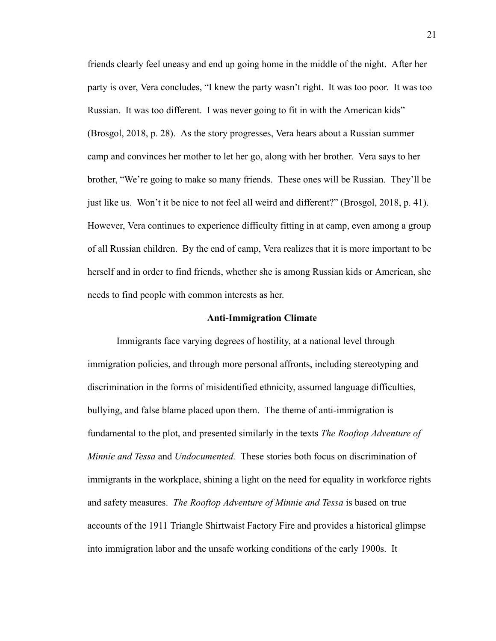friends clearly feel uneasy and end up going home in the middle of the night. After her party is over, Vera concludes, "I knew the party wasn't right. It was too poor. It was too Russian. It was too different. I was never going to fit in with the American kids" (Brosgol, 2018, p. 28). As the story progresses, Vera hears about a Russian summer camp and convinces her mother to let her go, along with her brother. Vera says to her brother, "We're going to make so many friends. These ones will be Russian. They'll be just like us. Won't it be nice to not feel all weird and different?" (Brosgol, 2018, p. 41). However, Vera continues to experience difficulty fitting in at camp, even among a group of all Russian children. By the end of camp, Vera realizes that it is more important to be herself and in order to find friends, whether she is among Russian kids or American, she needs to find people with common interests as her.

#### **Anti-Immigration Climate**

Immigrants face varying degrees of hostility, at a national level through immigration policies, and through more personal affronts, including stereotyping and discrimination in the forms of misidentified ethnicity, assumed language difficulties, bullying, and false blame placed upon them. The theme of anti-immigration is fundamental to the plot, and presented similarly in the texts *The Rooftop Adventure of Minnie and Tessa* and *Undocumented.* These stories both focus on discrimination of immigrants in the workplace, shining a light on the need for equality in workforce rights and safety measures. *The Rooftop Adventure of Minnie and Tessa* is based on true accounts of the 1911 Triangle Shirtwaist Factory Fire and provides a historical glimpse into immigration labor and the unsafe working conditions of the early 1900s. It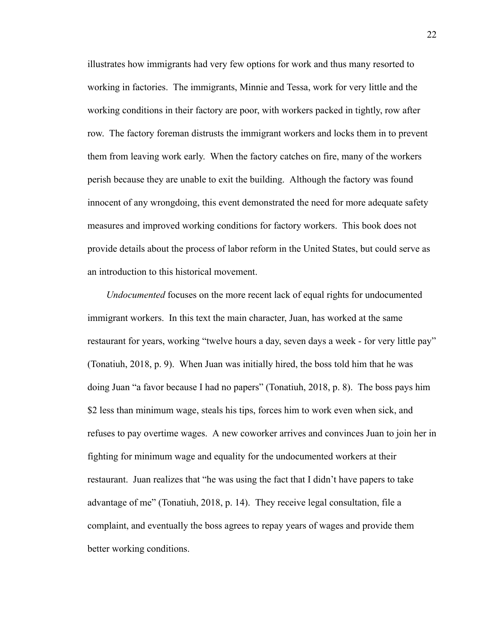illustrates how immigrants had very few options for work and thus many resorted to working in factories. The immigrants, Minnie and Tessa, work for very little and the working conditions in their factory are poor, with workers packed in tightly, row after row. The factory foreman distrusts the immigrant workers and locks them in to prevent them from leaving work early. When the factory catches on fire, many of the workers perish because they are unable to exit the building. Although the factory was found innocent of any wrongdoing, this event demonstrated the need for more adequate safety measures and improved working conditions for factory workers. This book does not provide details about the process of labor reform in the United States, but could serve as an introduction to this historical movement.

*Undocumented* focuses on the more recent lack of equal rights for undocumented immigrant workers. In this text the main character, Juan, has worked at the same restaurant for years, working "twelve hours a day, seven days a week - for very little pay" (Tonatiuh, 2018, p. 9). When Juan was initially hired, the boss told him that he was doing Juan "a favor because I had no papers" (Tonatiuh, 2018, p. 8). The boss pays him \$2 less than minimum wage, steals his tips, forces him to work even when sick, and refuses to pay overtime wages. A new coworker arrives and convinces Juan to join her in fighting for minimum wage and equality for the undocumented workers at their restaurant. Juan realizes that "he was using the fact that I didn't have papers to take advantage of me" (Tonatiuh, 2018, p. 14). They receive legal consultation, file a complaint, and eventually the boss agrees to repay years of wages and provide them better working conditions.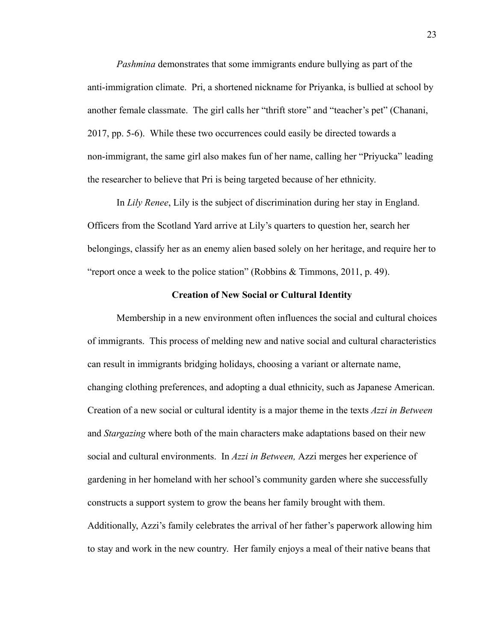*Pashmina* demonstrates that some immigrants endure bullying as part of the anti-immigration climate. Pri, a shortened nickname for Priyanka, is bullied at school by another female classmate. The girl calls her "thrift store" and "teacher's pet" (Chanani, 2017, pp. 5-6). While these two occurrences could easily be directed towards a non-immigrant, the same girl also makes fun of her name, calling her "Priyucka" leading the researcher to believe that Pri is being targeted because of her ethnicity.

In *Lily Renee* , Lily is the subject of discrimination during her stay in England. Officers from the Scotland Yard arrive at Lily's quarters to question her, search her belongings, classify her as an enemy alien based solely on her heritage, and require her to "report once a week to the police station" (Robbins & Timmons, 2011, p. 49).

#### **Creation of New Social or Cultural Identity**

Membership in a new environment often influences the social and cultural choices of immigrants. This process of melding new and native social and cultural characteristics can result in immigrants bridging holidays, choosing a variant or alternate name, changing clothing preferences, and adopting a dual ethnicity, such as Japanese American. Creation of a new social or cultural identity is a major theme in the texts *Azzi in Between*  and *Stargazing* where both of the main characters make adaptations based on their new social and cultural environments. In *Azzi in Between,* Azzi merges her experience of gardening in her homeland with her school's community garden where she successfully constructs a support system to grow the beans her family brought with them. Additionally, Azzi's family celebrates the arrival of her father's paperwork allowing him to stay and work in the new country. Her family enjoys a meal of their native beans that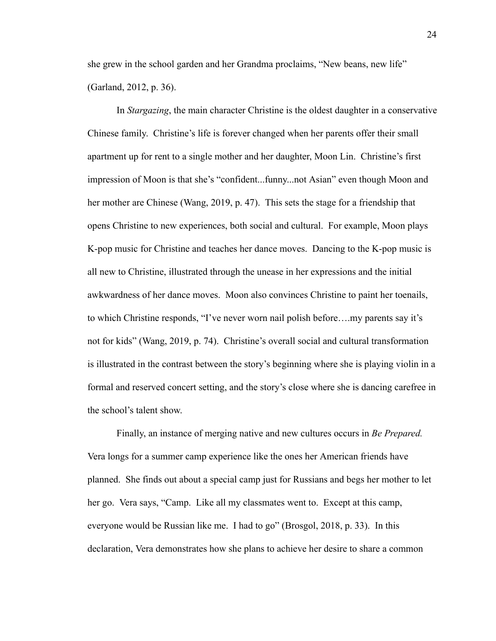she grew in the school garden and her Grandma proclaims, "New beans, new life" (Garland, 2012, p. 36).

In *Stargazing* , the main character Christine is the oldest daughter in a conservative Chinese family. Christine's life is forever changed when her parents offer their small apartment up for rent to a single mother and her daughter, Moon Lin. Christine's first impression of Moon is that she's "confident...funny...not Asian" even though Moon and her mother are Chinese (Wang, 2019, p. 47). This sets the stage for a friendship that opens Christine to new experiences, both social and cultural. For example, Moon plays K-pop music for Christine and teaches her dance moves. Dancing to the K-pop music is all new to Christine, illustrated through the unease in her expressions and the initial awkwardness of her dance moves. Moon also convinces Christine to paint her toenails, to which Christine responds, "I've never worn nail polish before….my parents say it's not for kids" (Wang, 2019, p. 74). Christine's overall social and cultural transformation is illustrated in the contrast between the story's beginning where she is playing violin in a formal and reserved concert setting, and the story's close where she is dancing carefree in the school's talent show.

Finally, an instance of merging native and new cultures occurs in *Be Prepared.*  Vera longs for a summer camp experience like the ones her American friends have planned. She finds out about a special camp just for Russians and begs her mother to let her go. Vera says, "Camp. Like all my classmates went to. Except at this camp, everyone would be Russian like me. I had to go" (Brosgol, 2018, p. 33). In this declaration, Vera demonstrates how she plans to achieve her desire to share a common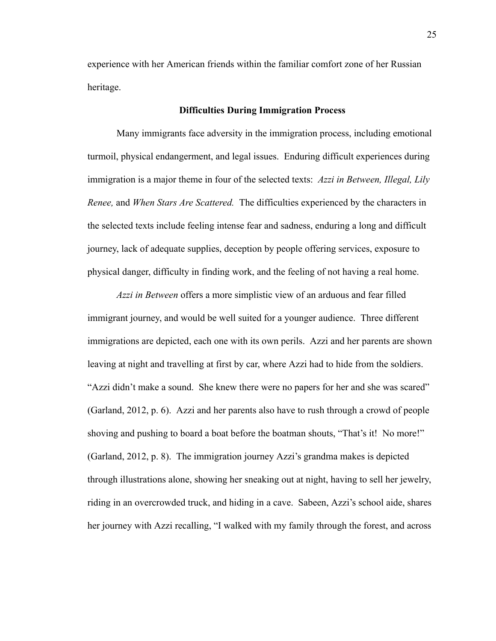experience with her American friends within the familiar comfort zone of her Russian heritage.

#### **Difficulties During Immigration Process**

Many immigrants face adversity in the immigration process, including emotional turmoil, physical endangerment, and legal issues. Enduring difficult experiences during immigration is a major theme in four of the selected texts: *Azzi in Between, Illegal, Lily Renee,* and *When Stars Are Scattered.* The difficulties experienced by the characters in the selected texts include feeling intense fear and sadness, enduring a long and difficult journey, lack of adequate supplies, deception by people offering services, exposure to physical danger, difficulty in finding work, and the feeling of not having a real home.

*Azzi in Between* offers a more simplistic view of an arduous and fear filled immigrant journey, and would be well suited for a younger audience. Three different immigrations are depicted, each one with its own perils. Azzi and her parents are shown leaving at night and travelling at first by car, where Azzi had to hide from the soldiers. "Azzi didn't make a sound. She knew there were no papers for her and she was scared" (Garland, 2012, p. 6). Azzi and her parents also have to rush through a crowd of people shoving and pushing to board a boat before the boatman shouts, "That's it! No more!" (Garland, 2012, p. 8). The immigration journey Azzi's grandma makes is depicted through illustrations alone, showing her sneaking out at night, having to sell her jewelry, riding in an overcrowded truck, and hiding in a cave. Sabeen, Azzi's school aide, shares her journey with Azzi recalling, "I walked with my family through the forest, and across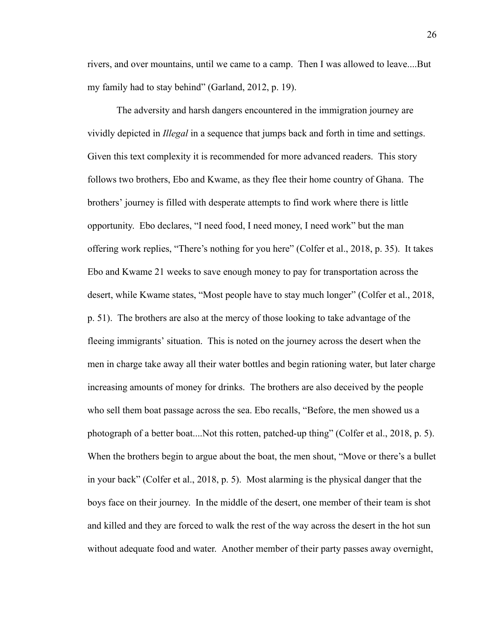rivers, and over mountains, until we came to a camp. Then I was allowed to leave....But my family had to stay behind" (Garland, 2012, p. 19).

The adversity and harsh dangers encountered in the immigration journey are vividly depicted in *Illegal* in a sequence that jumps back and forth in time and settings. Given this text complexity it is recommended for more advanced readers. This story follows two brothers, Ebo and Kwame, as they flee their home country of Ghana. The brothers' journey is filled with desperate attempts to find work where there is little opportunity. Ebo declares, "I need food, I need money, I need work" but the man offering work replies, "There's nothing for you here" (Colfer et al., 2018, p. 35). It takes Ebo and Kwame 21 weeks to save enough money to pay for transportation across the desert, while Kwame states, "Most people have to stay much longer" (Colfer et al., 2018, p. 51). The brothers are also at the mercy of those looking to take advantage of the fleeing immigrants' situation. This is noted on the journey across the desert when the men in charge take away all their water bottles and begin rationing water, but later charge increasing amounts of money for drinks. The brothers are also deceived by the people who sell them boat passage across the sea. Ebo recalls, "Before, the men showed us a photograph of a better boat....Not this rotten, patched-up thing" (Colfer et al., 2018, p. 5). When the brothers begin to argue about the boat, the men shout, "Move or there's a bullet in your back" (Colfer et al., 2018, p. 5). Most alarming is the physical danger that the boys face on their journey. In the middle of the desert, one member of their team is shot and killed and they are forced to walk the rest of the way across the desert in the hot sun without adequate food and water. Another member of their party passes away overnight,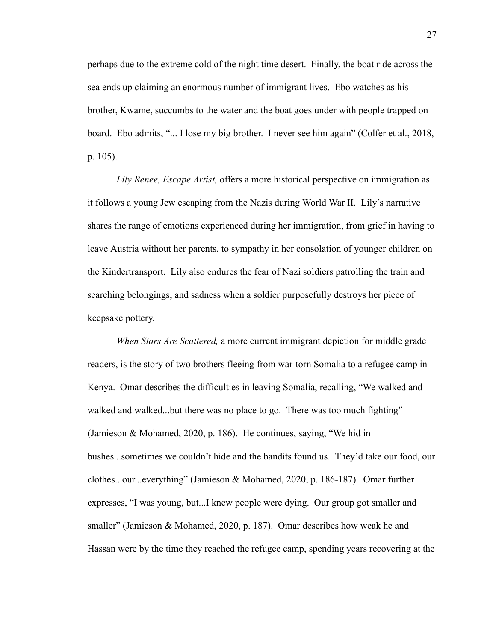perhaps due to the extreme cold of the night time desert. Finally, the boat ride across the sea ends up claiming an enormous number of immigrant lives. Ebo watches as his brother, Kwame, succumbs to the water and the boat goes under with people trapped on board. Ebo admits, "... I lose my big brother. I never see him again" (Colfer et al., 2018, p. 105).

*Lily Renee, Escape Artist,* offers a more historical perspective on immigration as it follows a young Jew escaping from the Nazis during World War II. Lily's narrative shares the range of emotions experienced during her immigration, from grief in having to leave Austria without her parents, to sympathy in her consolation of younger children on the Kindertransport. Lily also endures the fear of Nazi soldiers patrolling the train and searching belongings, and sadness when a soldier purposefully destroys her piece of keepsake pottery.

*When Stars Are Scattered,* a more current immigrant depiction for middle grade readers, is the story of two brothers fleeing from war-torn Somalia to a refugee camp in Kenya. Omar describes the difficulties in leaving Somalia, recalling, "We walked and walked and walked...but there was no place to go. There was too much fighting" (Jamieson & Mohamed, 2020, p. 186). He continues, saying, "We hid in bushes...sometimes we couldn't hide and the bandits found us. They'd take our food, our clothes...our...everything" (Jamieson & Mohamed, 2020, p. 186-187). Omar further expresses, "I was young, but...I knew people were dying. Our group got smaller and smaller" (Jamieson & Mohamed, 2020, p. 187). Omar describes how weak he and Hassan were by the time they reached the refugee camp, spending years recovering at the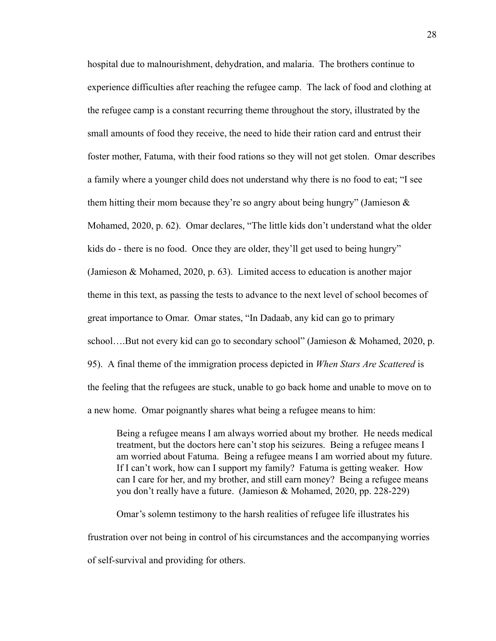hospital due to malnourishment, dehydration, and malaria. The brothers continue to experience difficulties after reaching the refugee camp. The lack of food and clothing at the refugee camp is a constant recurring theme throughout the story, illustrated by the small amounts of food they receive, the need to hide their ration card and entrust their foster mother, Fatuma, with their food rations so they will not get stolen. Omar describes a family where a younger child does not understand why there is no food to eat; "I see them hitting their mom because they're so angry about being hungry" (Jamieson  $\&$ Mohamed, 2020, p. 62). Omar declares, "The little kids don't understand what the older kids do - there is no food. Once they are older, they'll get used to being hungry" (Jamieson & Mohamed, 2020, p. 63). Limited access to education is another major theme in this text, as passing the tests to advance to the next level of school becomes of great importance to Omar. Omar states, "In Dadaab, any kid can go to primary school….But not every kid can go to secondary school" (Jamieson & Mohamed, 2020, p. 95). A final theme of the immigration process depicted in *When Stars Are Scattered* is the feeling that the refugees are stuck, unable to go back home and unable to move on to a new home. Omar poignantly shares what being a refugee means to him:

Being a refugee means I am always worried about my brother. He needs medical treatment, but the doctors here can't stop his seizures. Being a refugee means I am worried about Fatuma. Being a refugee means I am worried about my future. If I can't work, how can I support my family? Fatuma is getting weaker. How can I care for her, and my brother, and still earn money? Being a refugee means you don't really have a future. (Jamieson & Mohamed, 2020, pp. 228-229)

Omar's solemn testimony to the harsh realities of refugee life illustrates his frustration over not being in control of his circumstances and the accompanying worries of self-survival and providing for others.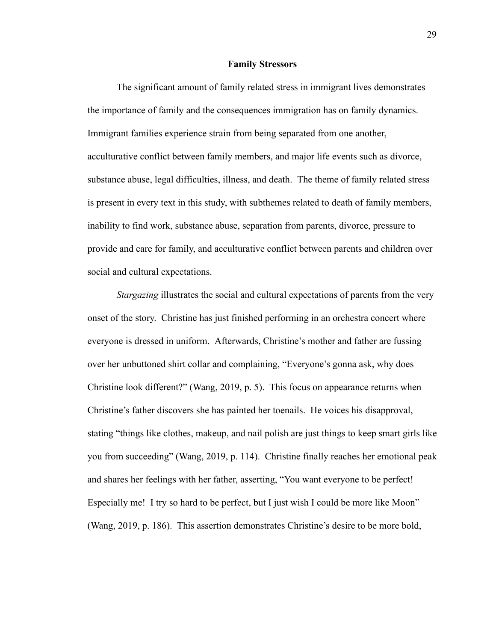#### **Family Stressors**

The significant amount of family related stress in immigrant lives demonstrates the importance of family and the consequences immigration has on family dynamics. Immigrant families experience strain from being separated from one another, acculturative conflict between family members, and major life events such as divorce, substance abuse, legal difficulties, illness, and death. The theme of family related stress is present in every text in this study, with subthemes related to death of family members, inability to find work, substance abuse, separation from parents, divorce, pressure to provide and care for family, and acculturative conflict between parents and children over social and cultural expectations.

*Stargazing* illustrates the social and cultural expectations of parents from the very onset of the story. Christine has just finished performing in an orchestra concert where everyone is dressed in uniform. Afterwards, Christine's mother and father are fussing over her unbuttoned shirt collar and complaining, "Everyone's gonna ask, why does Christine look different?" (Wang, 2019, p. 5). This focus on appearance returns when Christine's father discovers she has painted her toenails. He voices his disapproval, stating "things like clothes, makeup, and nail polish are just things to keep smart girls like you from succeeding" (Wang, 2019, p. 114). Christine finally reaches her emotional peak and shares her feelings with her father, asserting, "You want everyone to be perfect! Especially me! I try so hard to be perfect, but I just wish I could be more like Moon" (Wang, 2019, p. 186). This assertion demonstrates Christine's desire to be more bold,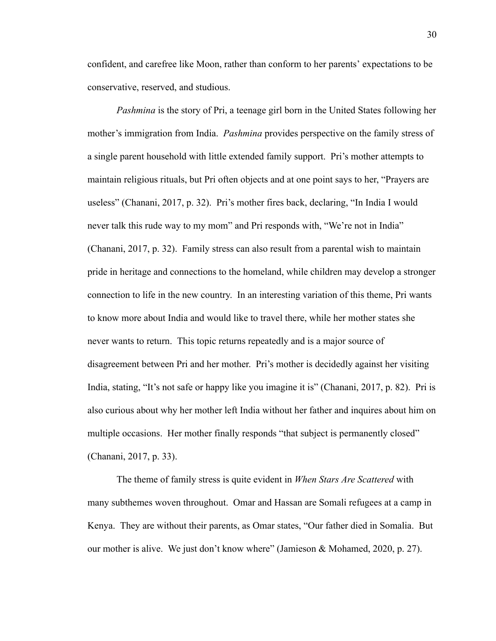confident, and carefree like Moon, rather than conform to her parents' expectations to be conservative, reserved, and studious.

*Pashmina* is the story of Pri, a teenage girl born in the United States following her mother's immigration from India. *Pashmina* provides perspective on the family stress of a single parent household with little extended family support. Pri's mother attempts to maintain religious rituals, but Pri often objects and at one point says to her, "Prayers are useless" (Chanani, 2017, p. 32). Pri's mother fires back, declaring, "In India I would never talk this rude way to my mom" and Pri responds with, "We're not in India" (Chanani, 2017, p. 32). Family stress can also result from a parental wish to maintain pride in heritage and connections to the homeland, while children may develop a stronger connection to life in the new country. In an interesting variation of this theme, Pri wants to know more about India and would like to travel there, while her mother states she never wants to return. This topic returns repeatedly and is a major source of disagreement between Pri and her mother. Pri's mother is decidedly against her visiting India, stating, "It's not safe or happy like you imagine it is" (Chanani, 2017, p. 82). Pri is also curious about why her mother left India without her father and inquires about him on multiple occasions. Her mother finally responds "that subject is permanently closed" (Chanani, 2017, p. 33).

The theme of family stress is quite evident in *When Stars Are Scattered* with many subthemes woven throughout. Omar and Hassan are Somali refugees at a camp in Kenya. They are without their parents, as Omar states, "Our father died in Somalia. But our mother is alive. We just don't know where" (Jamieson & Mohamed, 2020, p. 27).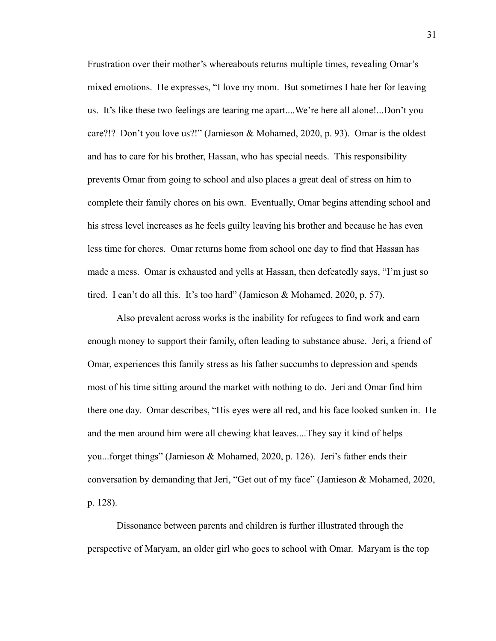Frustration over their mother's whereabouts returns multiple times, revealing Omar's mixed emotions. He expresses, "I love my mom. But sometimes I hate her for leaving us. It's like these two feelings are tearing me apart....We're here all alone!...Don't you care?!? Don't you love us?!" (Jamieson & Mohamed, 2020, p. 93). Omar is the oldest and has to care for his brother, Hassan, who has special needs. This responsibility prevents Omar from going to school and also places a great deal of stress on him to complete their family chores on his own. Eventually, Omar begins attending school and his stress level increases as he feels guilty leaving his brother and because he has even less time for chores. Omar returns home from school one day to find that Hassan has made a mess. Omar is exhausted and yells at Hassan, then defeatedly says, "I'm just so tired. I can't do all this. It's too hard" (Jamieson & Mohamed, 2020, p. 57).

Also prevalent across works is the inability for refugees to find work and earn enough money to support their family, often leading to substance abuse. Jeri, a friend of Omar, experiences this family stress as his father succumbs to depression and spends most of his time sitting around the market with nothing to do. Jeri and Omar find him there one day. Omar describes, "His eyes were all red, and his face looked sunken in. He and the men around him were all chewing khat leaves....They say it kind of helps you...forget things" (Jamieson & Mohamed, 2020, p. 126). Jeri's father ends their conversation by demanding that Jeri, "Get out of my face" (Jamieson & Mohamed, 2020, p. 128).

Dissonance between parents and children is further illustrated through the perspective of Maryam, an older girl who goes to school with Omar. Maryam is the top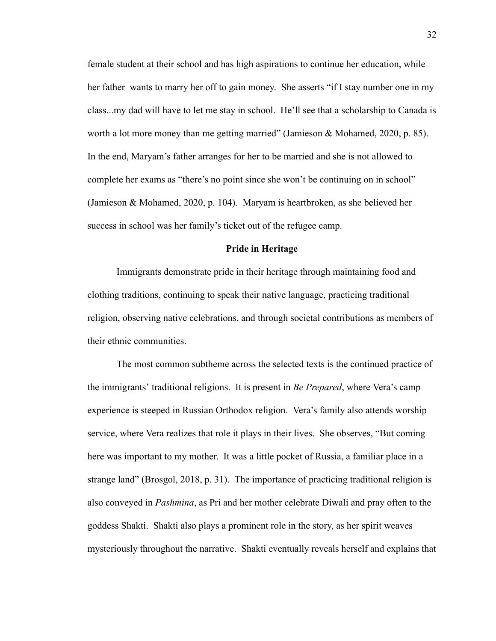female student at their school and has high aspirations to continue her education, while her father wants to marry her off to gain money. She asserts "if I stay number one in my class...my dad will have to let me stay in school. He'll see that a scholarship to Canada is worth a lot more money than me getting married" (Jamieson & Mohamed, 2020, p. 85). In the end, Maryam's father arranges for her to be married and she is not allowed to complete her exams as "there's no point since she won't be continuing on in school" (Jamieson & Mohamed, 2020, p. 104). Maryam is heartbroken, as she believed her success in school was her family's ticket out of the refugee camp.

#### **Pride in Heritage**

Immigrants demonstrate pride in their heritage through maintaining food and clothing traditions, continuing to speak their native language, practicing traditional religion, observing native celebrations, and through societal contributions as members of their ethnic communities.

The most common subtheme across the selected texts is the continued practice of the immigrants' traditional religions. It is present in *Be Prepared*, where Vera's camp experience is steeped in Russian Orthodox religion. Vera's family also attends worship service, where Vera realizes that role it plays in their lives. She observes, "But coming here was important to my mother. It was a little pocket of Russia, a familiar place in a strange land" (Brosgol, 2018, p. 31). The importance of practicing traditional religion is also conveyed in *Pashmina* , as Pri and her mother celebrate Diwali and pray often to the goddess Shakti. Shakti also plays a prominent role in the story, as her spirit weaves mysteriously throughout the narrative. Shakti eventually reveals herself and explains that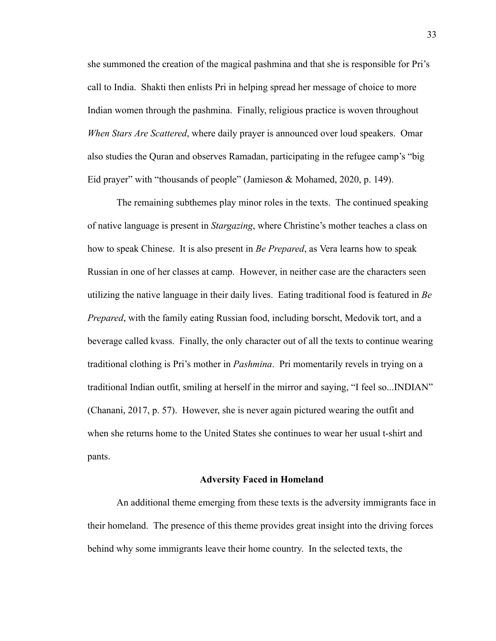she summoned the creation of the magical pashmina and that she is responsible for Pri's call to India. Shakti then enlists Pri in helping spread her message of choice to more Indian women through the pashmina. Finally, religious practice is woven throughout *When Stars Are Scattered*, where daily prayer is announced over loud speakers. Omar also studies the Quran and observes Ramadan, participating in the refugee camp's "big Eid prayer" with "thousands of people" (Jamieson & Mohamed, 2020, p. 149).

The remaining subthemes play minor roles in the texts. The continued speaking of native language is present in *Stargazing* , where Christine's mother teaches a class on how to speak Chinese. It is also present in *Be Prepared*, as Vera learns how to speak Russian in one of her classes at camp. However, in neither case are the characters seen utilizing the native language in their daily lives. Eating traditional food is featured in *Be Prepared*, with the family eating Russian food, including borscht, Medovik tort, and a beverage called kvass. Finally, the only character out of all the texts to continue wearing traditional clothing is Pri's mother in *Pashmina* . Pri momentarily revels in trying on a traditional Indian outfit, smiling at herself in the mirror and saying, "I feel so...INDIAN" (Chanani, 2017, p. 57). However, she is never again pictured wearing the outfit and when she returns home to the United States she continues to wear her usual t-shirt and pants.

#### **Adversity Faced in Homeland**

An additional theme emerging from these texts is the adversity immigrants face in their homeland. The presence of this theme provides great insight into the driving forces behind why some immigrants leave their home country. In the selected texts, the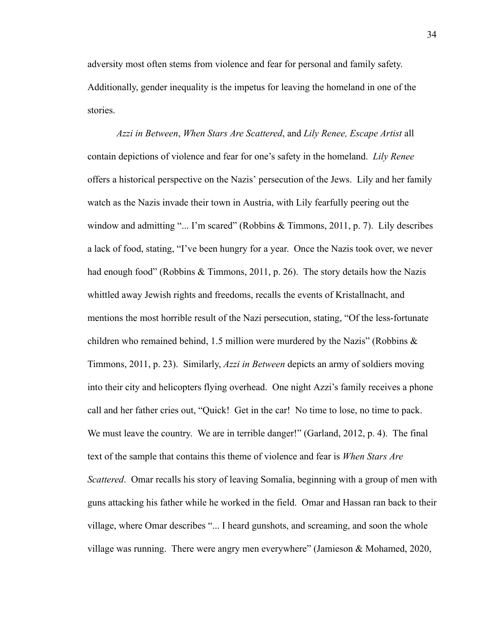adversity most often stems from violence and fear for personal and family safety. Additionally, gender inequality is the impetus for leaving the homeland in one of the stories.

*Azzi in Between* , *When Stars Are Scattered* , and *Lily Renee, Escape Artist* all contain depictions of violence and fear for one's safety in the homeland. *Lily Renee*  offers a historical perspective on the Nazis' persecution of the Jews. Lily and her family watch as the Nazis invade their town in Austria, with Lily fearfully peering out the window and admitting "... I'm scared" (Robbins & Timmons, 2011, p. 7). Lily describes a lack of food, stating, "I've been hungry for a year. Once the Nazis took over, we never had enough food" (Robbins & Timmons, 2011, p. 26). The story details how the Nazis whittled away Jewish rights and freedoms, recalls the events of Kristallnacht, and mentions the most horrible result of the Nazi persecution, stating, "Of the less-fortunate children who remained behind, 1.5 million were murdered by the Nazis" (Robbins & Timmons, 2011, p. 23). Similarly, *Azzi in Between* depicts an army of soldiers moving into their city and helicopters flying overhead. One night Azzi's family receives a phone call and her father cries out, "Quick! Get in the car! No time to lose, no time to pack. We must leave the country. We are in terrible danger!" (Garland, 2012, p. 4). The final text of the sample that contains this theme of violence and fear is *When Stars Are Scattered* . Omar recalls his story of leaving Somalia, beginning with a group of men with guns attacking his father while he worked in the field. Omar and Hassan ran back to their village, where Omar describes "... I heard gunshots, and screaming, and soon the whole village was running. There were angry men everywhere" (Jamieson & Mohamed, 2020,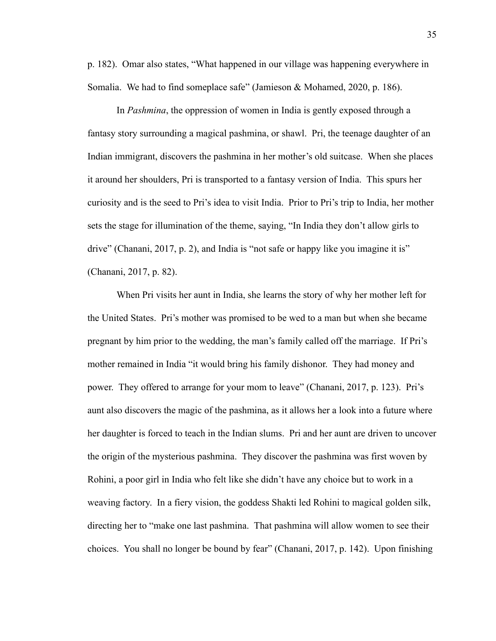p. 182). Omar also states, "What happened in our village was happening everywhere in Somalia. We had to find someplace safe" (Jamieson & Mohamed, 2020, p. 186).

In *Pashmina* , the oppression of women in India is gently exposed through a fantasy story surrounding a magical pashmina, or shawl. Pri, the teenage daughter of an Indian immigrant, discovers the pashmina in her mother's old suitcase. When she places it around her shoulders, Pri is transported to a fantasy version of India. This spurs her curiosity and is the seed to Pri's idea to visit India. Prior to Pri's trip to India, her mother sets the stage for illumination of the theme, saying, "In India they don't allow girls to drive" (Chanani, 2017, p. 2), and India is "not safe or happy like you imagine it is" (Chanani, 2017, p. 82).

When Pri visits her aunt in India, she learns the story of why her mother left for the United States. Pri's mother was promised to be wed to a man but when she became pregnant by him prior to the wedding, the man's family called off the marriage. If Pri's mother remained in India "it would bring his family dishonor. They had money and power. They offered to arrange for your mom to leave" (Chanani, 2017, p. 123). Pri's aunt also discovers the magic of the pashmina, as it allows her a look into a future where her daughter is forced to teach in the Indian slums. Pri and her aunt are driven to uncover the origin of the mysterious pashmina. They discover the pashmina was first woven by Rohini, a poor girl in India who felt like she didn't have any choice but to work in a weaving factory. In a fiery vision, the goddess Shakti led Rohini to magical golden silk, directing her to "make one last pashmina. That pashmina will allow women to see their choices. You shall no longer be bound by fear" (Chanani, 2017, p. 142). Upon finishing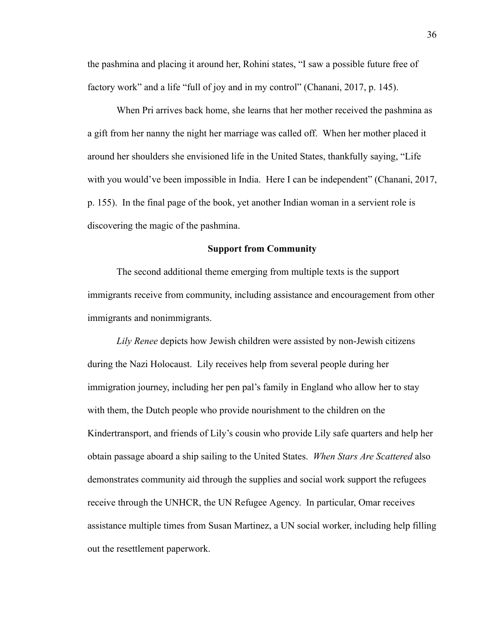the pashmina and placing it around her, Rohini states, "I saw a possible future free of factory work" and a life "full of joy and in my control" (Chanani, 2017, p. 145).

When Pri arrives back home, she learns that her mother received the pashmina as a gift from her nanny the night her marriage was called off. When her mother placed it around her shoulders she envisioned life in the United States, thankfully saying, "Life with you would've been impossible in India. Here I can be independent" (Chanani, 2017, p. 155). In the final page of the book, yet another Indian woman in a servient role is discovering the magic of the pashmina.

#### **Support from Community**

The second additional theme emerging from multiple texts is the support immigrants receive from community, including assistance and encouragement from other immigrants and nonimmigrants.

*Lily Renee* depicts how Jewish children were assisted by non-Jewish citizens during the Nazi Holocaust. Lily receives help from several people during her immigration journey, including her pen pal's family in England who allow her to stay with them, the Dutch people who provide nourishment to the children on the Kindertransport, and friends of Lily's cousin who provide Lily safe quarters and help her obtain passage aboard a ship sailing to the United States. *When Stars Are Scattered* also demonstrates community aid through the supplies and social work support the refugees receive through the UNHCR, the UN Refugee Agency. In particular, Omar receives assistance multiple times from Susan Martinez, a UN social worker, including help filling out the resettlement paperwork.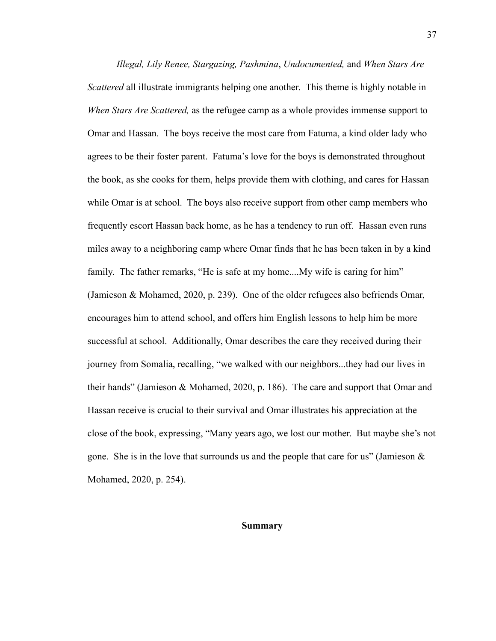*Illegal, Lily Renee, Stargazing, Pashmina* , *Undocumented,* and *When Stars Are Scattered* all illustrate immigrants helping one another. This theme is highly notable in *When Stars Are Scattered,* as the refugee camp as a whole provides immense support to Omar and Hassan. The boys receive the most care from Fatuma, a kind older lady who agrees to be their foster parent. Fatuma's love for the boys is demonstrated throughout the book, as she cooks for them, helps provide them with clothing, and cares for Hassan while Omar is at school. The boys also receive support from other camp members who frequently escort Hassan back home, as he has a tendency to run off. Hassan even runs miles away to a neighboring camp where Omar finds that he has been taken in by a kind family. The father remarks, "He is safe at my home....My wife is caring for him" (Jamieson & Mohamed, 2020, p. 239). One of the older refugees also befriends Omar, encourages him to attend school, and offers him English lessons to help him be more successful at school. Additionally, Omar describes the care they received during their journey from Somalia, recalling, "we walked with our neighbors...they had our lives in their hands" (Jamieson & Mohamed, 2020, p. 186). The care and support that Omar and Hassan receive is crucial to their survival and Omar illustrates his appreciation at the close of the book, expressing, "Many years ago, we lost our mother. But maybe she's not gone. She is in the love that surrounds us and the people that care for us" (Jamieson  $\&$ Mohamed, 2020, p. 254).

#### **Summary**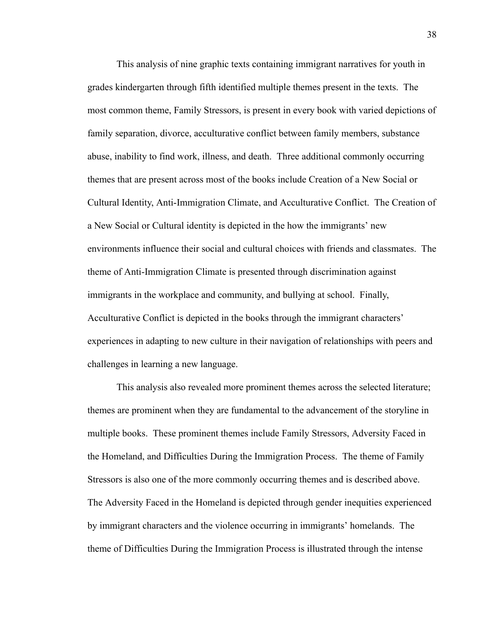This analysis of nine graphic texts containing immigrant narratives for youth in grades kindergarten through fifth identified multiple themes present in the texts. The most common theme, Family Stressors, is present in every book with varied depictions of family separation, divorce, acculturative conflict between family members, substance abuse, inability to find work, illness, and death. Three additional commonly occurring themes that are present across most of the books include Creation of a New Social or Cultural Identity, Anti-Immigration Climate, and Acculturative Conflict. The Creation of a New Social or Cultural identity is depicted in the how the immigrants' new environments influence their social and cultural choices with friends and classmates. The theme of Anti-Immigration Climate is presented through discrimination against immigrants in the workplace and community, and bullying at school. Finally, Acculturative Conflict is depicted in the books through the immigrant characters' experiences in adapting to new culture in their navigation of relationships with peers and challenges in learning a new language.

This analysis also revealed more prominent themes across the selected literature; themes are prominent when they are fundamental to the advancement of the storyline in multiple books. These prominent themes include Family Stressors, Adversity Faced in the Homeland, and Difficulties During the Immigration Process. The theme of Family Stressors is also one of the more commonly occurring themes and is described above. The Adversity Faced in the Homeland is depicted through gender inequities experienced by immigrant characters and the violence occurring in immigrants' homelands. The theme of Difficulties During the Immigration Process is illustrated through the intense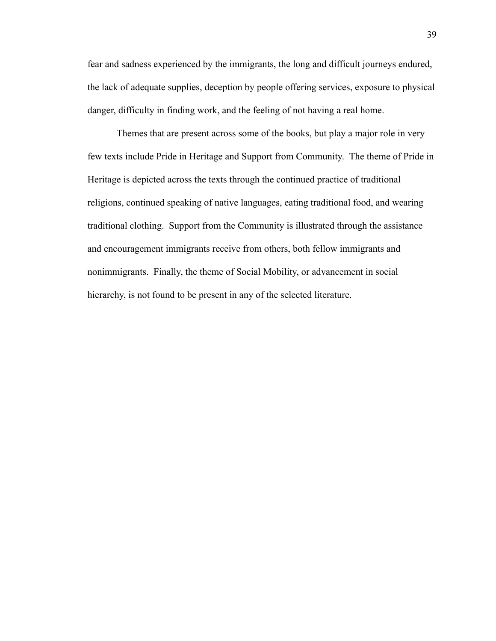fear and sadness experienced by the immigrants, the long and difficult journeys endured, the lack of adequate supplies, deception by people offering services, exposure to physical danger, difficulty in finding work, and the feeling of not having a real home.

Themes that are present across some of the books, but play a major role in very few texts include Pride in Heritage and Support from Community. The theme of Pride in Heritage is depicted across the texts through the continued practice of traditional religions, continued speaking of native languages, eating traditional food, and wearing traditional clothing. Support from the Community is illustrated through the assistance and encouragement immigrants receive from others, both fellow immigrants and nonimmigrants. Finally, the theme of Social Mobility, or advancement in social hierarchy, is not found to be present in any of the selected literature.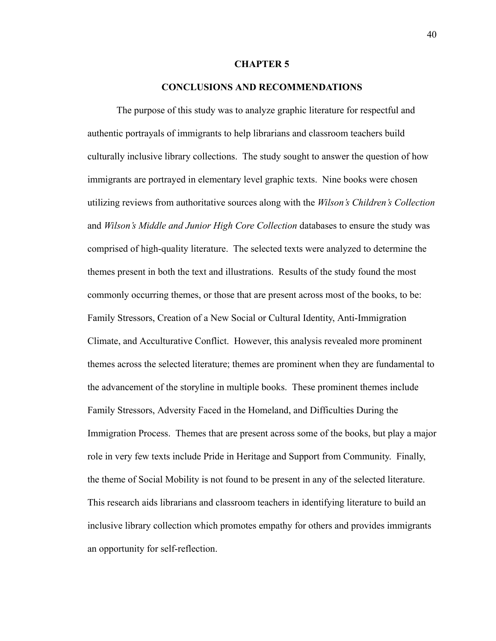#### **CHAPTER 5**

#### **CONCLUSIONS AND RECOMMENDATIONS**

The purpose of this study was to analyze graphic literature for respectful and authentic portrayals of immigrants to help librarians and classroom teachers build culturally inclusive library collections. The study sought to answer the question of how immigrants are portrayed in elementary level graphic texts. Nine books were chosen utilizing reviews from authoritative sources along with the *Wilson's Children's Collection*  and *Wilson's Middle and Junior High Core Collection* databases to ensure the study was comprised of high-quality literature. The selected texts were analyzed to determine the themes present in both the text and illustrations. Results of the study found the most commonly occurring themes, or those that are present across most of the books, to be: Family Stressors, Creation of a New Social or Cultural Identity, Anti-Immigration Climate, and Acculturative Conflict. However, this analysis revealed more prominent themes across the selected literature; themes are prominent when they are fundamental to the advancement of the storyline in multiple books. These prominent themes include Family Stressors, Adversity Faced in the Homeland, and Difficulties During the Immigration Process. Themes that are present across some of the books, but play a major role in very few texts include Pride in Heritage and Support from Community. Finally, the theme of Social Mobility is not found to be present in any of the selected literature. This research aids librarians and classroom teachers in identifying literature to build an inclusive library collection which promotes empathy for others and provides immigrants an opportunity for self-reflection.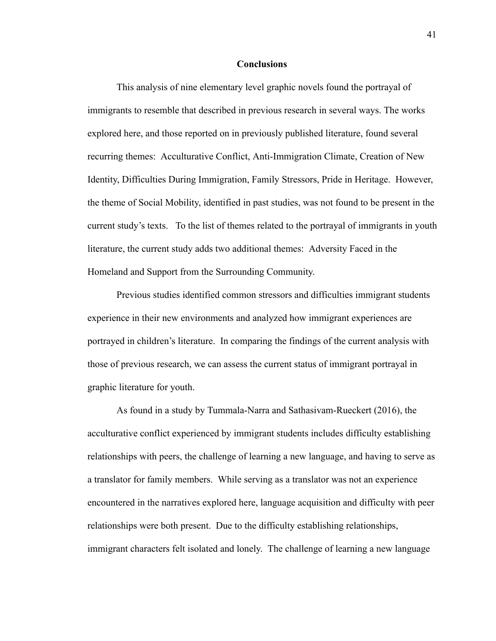#### **Conclusions**

This analysis of nine elementary level graphic novels found the portrayal of immigrants to resemble that described in previous research in several ways. The works explored here, and those reported on in previously published literature, found several recurring themes: Acculturative Conflict, Anti-Immigration Climate, Creation of New Identity, Difficulties During Immigration, Family Stressors, Pride in Heritage. However, the theme of Social Mobility, identified in past studies, was not found to be present in the current study's texts. To the list of themes related to the portrayal of immigrants in youth literature, the current study adds two additional themes: Adversity Faced in the Homeland and Support from the Surrounding Community.

Previous studies identified common stressors and difficulties immigrant students experience in their new environments and analyzed how immigrant experiences are portrayed in children's literature. In comparing the findings of the current analysis with those of previous research, we can assess the current status of immigrant portrayal in graphic literature for youth.

As found in a study by Tummala-Narra and Sathasivam-Rueckert (2016), the acculturative conflict experienced by immigrant students includes difficulty establishing relationships with peers, the challenge of learning a new language, and having to serve as a translator for family members. While serving as a translator was not an experience encountered in the narratives explored here, language acquisition and difficulty with peer relationships were both present. Due to the difficulty establishing relationships, immigrant characters felt isolated and lonely. The challenge of learning a new language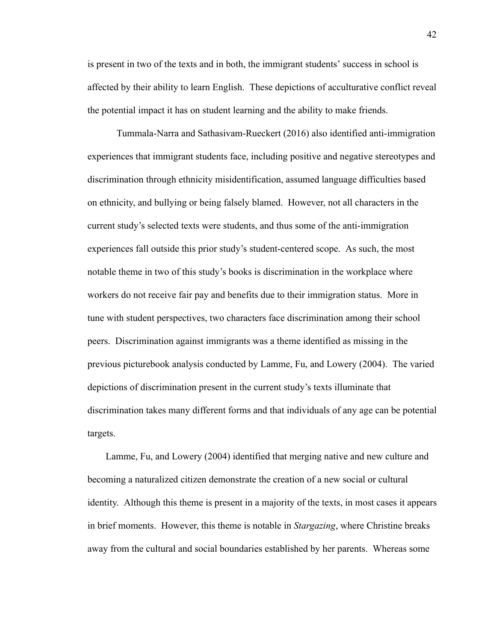is present in two of the texts and in both, the immigrant students' success in school is affected by their ability to learn English. These depictions of acculturative conflict reveal the potential impact it has on student learning and the ability to make friends.

Tummala-Narra and Sathasivam-Rueckert (2016) also identified anti-immigration experiences that immigrant students face, including positive and negative stereotypes and discrimination through ethnicity misidentification, assumed language difficulties based on ethnicity, and bullying or being falsely blamed. However, not all characters in the current study's selected texts were students, and thus some of the anti-immigration experiences fall outside this prior study's student-centered scope. As such, the most notable theme in two of this study's books is discrimination in the workplace where workers do not receive fair pay and benefits due to their immigration status. More in tune with student perspectives, two characters face discrimination among their school peers. Discrimination against immigrants was a theme identified as missing in the previous picturebook analysis conducted by Lamme, Fu, and Lowery (2004). The varied depictions of discrimination present in the current study's texts illuminate that discrimination takes many different forms and that individuals of any age can be potential targets.

Lamme, Fu, and Lowery (2004) identified that merging native and new culture and becoming a naturalized citizen demonstrate the creation of a new social or cultural identity. Although this theme is present in a majority of the texts, in most cases it appears in brief moments. However, this theme is notable in *Stargazing* , where Christine breaks away from the cultural and social boundaries established by her parents. Whereas some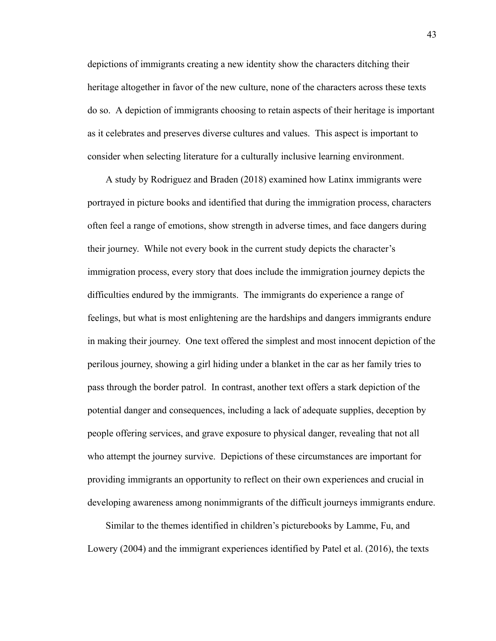depictions of immigrants creating a new identity show the characters ditching their heritage altogether in favor of the new culture, none of the characters across these texts do so. A depiction of immigrants choosing to retain aspects of their heritage is important as it celebrates and preserves diverse cultures and values. This aspect is important to consider when selecting literature for a culturally inclusive learning environment.

A study by Rodriguez and Braden (2018) examined how Latinx immigrants were portrayed in picture books and identified that during the immigration process, characters often feel a range of emotions, show strength in adverse times, and face dangers during their journey. While not every book in the current study depicts the character's immigration process, every story that does include the immigration journey depicts the difficulties endured by the immigrants. The immigrants do experience a range of feelings, but what is most enlightening are the hardships and dangers immigrants endure in making their journey. One text offered the simplest and most innocent depiction of the perilous journey, showing a girl hiding under a blanket in the car as her family tries to pass through the border patrol. In contrast, another text offers a stark depiction of the potential danger and consequences, including a lack of adequate supplies, deception by people offering services, and grave exposure to physical danger, revealing that not all who attempt the journey survive. Depictions of these circumstances are important for providing immigrants an opportunity to reflect on their own experiences and crucial in developing awareness among nonimmigrants of the difficult journeys immigrants endure.

Similar to the themes identified in children's picturebooks by Lamme, Fu, and Lowery (2004) and the immigrant experiences identified by Patel et al. (2016), the texts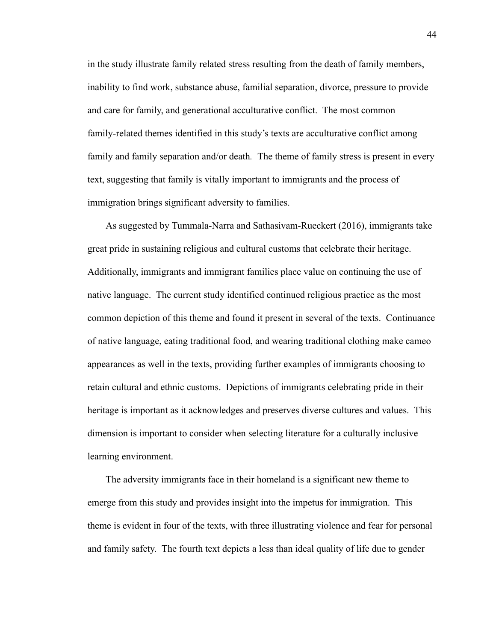in the study illustrate family related stress resulting from the death of family members, inability to find work, substance abuse, familial separation, divorce, pressure to provide and care for family, and generational acculturative conflict. The most common family-related themes identified in this study's texts are acculturative conflict among family and family separation and/or death. The theme of family stress is present in every text, suggesting that family is vitally important to immigrants and the process of immigration brings significant adversity to families.

As suggested by Tummala-Narra and Sathasivam-Rueckert (2016), immigrants take great pride in sustaining religious and cultural customs that celebrate their heritage. Additionally, immigrants and immigrant families place value on continuing the use of native language. The current study identified continued religious practice as the most common depiction of this theme and found it present in several of the texts. Continuance of native language, eating traditional food, and wearing traditional clothing make cameo appearances as well in the texts, providing further examples of immigrants choosing to retain cultural and ethnic customs. Depictions of immigrants celebrating pride in their heritage is important as it acknowledges and preserves diverse cultures and values. This dimension is important to consider when selecting literature for a culturally inclusive learning environment.

The adversity immigrants face in their homeland is a significant new theme to emerge from this study and provides insight into the impetus for immigration. This theme is evident in four of the texts, with three illustrating violence and fear for personal and family safety. The fourth text depicts a less than ideal quality of life due to gender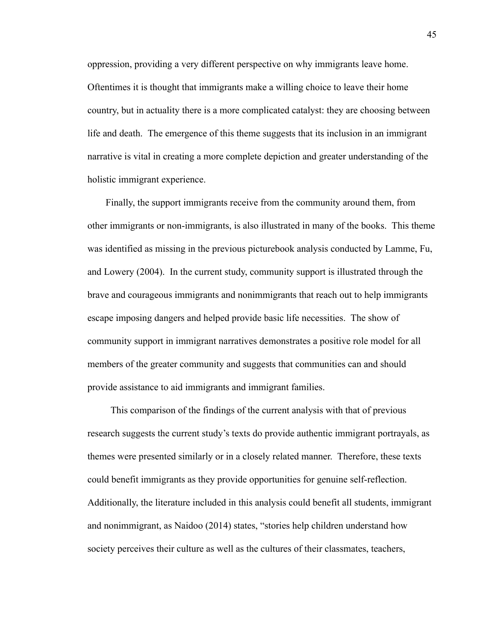oppression, providing a very different perspective on why immigrants leave home. Oftentimes it is thought that immigrants make a willing choice to leave their home country, but in actuality there is a more complicated catalyst: they are choosing between life and death. The emergence of this theme suggests that its inclusion in an immigrant narrative is vital in creating a more complete depiction and greater understanding of the holistic immigrant experience.

Finally, the support immigrants receive from the community around them, from other immigrants or non-immigrants, is also illustrated in many of the books. This theme was identified as missing in the previous picturebook analysis conducted by Lamme, Fu, and Lowery (2004). In the current study, community support is illustrated through the brave and courageous immigrants and nonimmigrants that reach out to help immigrants escape imposing dangers and helped provide basic life necessities. The show of community support in immigrant narratives demonstrates a positive role model for all members of the greater community and suggests that communities can and should provide assistance to aid immigrants and immigrant families.

 This comparison of the findings of the current analysis with that of previous research suggests the current study's texts do provide authentic immigrant portrayals, as themes were presented similarly or in a closely related manner. Therefore, these texts could benefit immigrants as they provide opportunities for genuine self-reflection. Additionally, the literature included in this analysis could benefit all students, immigrant and nonimmigrant, as Naidoo (2014) states, "stories help children understand how society perceives their culture as well as the cultures of their classmates, teachers,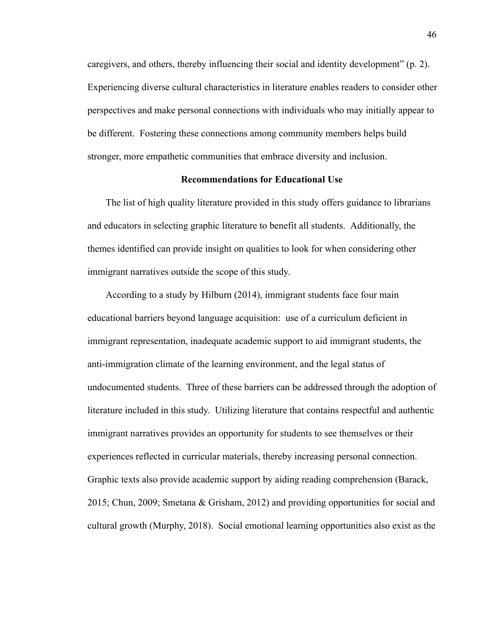caregivers, and others, thereby influencing their social and identity development" (p. 2). Experiencing diverse cultural characteristics in literature enables readers to consider other perspectives and make personal connections with individuals who may initially appear to be different. Fostering these connections among community members helps build stronger, more empathetic communities that embrace diversity and inclusion.

#### **Recommendations for Educational Use**

The list of high quality literature provided in this study offers guidance to librarians and educators in selecting graphic literature to benefit all students. Additionally, the themes identified can provide insight on qualities to look for when considering other immigrant narratives outside the scope of this study.

According to a study by Hilburn (2014), immigrant students face four main educational barriers beyond language acquisition: use of a curriculum deficient in immigrant representation, inadequate academic support to aid immigrant students, the anti-immigration climate of the learning environment, and the legal status of undocumented students. Three of these barriers can be addressed through the adoption of literature included in this study. Utilizing literature that contains respectful and authentic immigrant narratives provides an opportunity for students to see themselves or their experiences reflected in curricular materials, thereby increasing personal connection. Graphic texts also provide academic support by aiding reading comprehension (Barack, 2015; Chun, 2009; Smetana & Grisham, 2012) and providing opportunities for social and cultural growth (Murphy, 2018). Social emotional learning opportunities also exist as the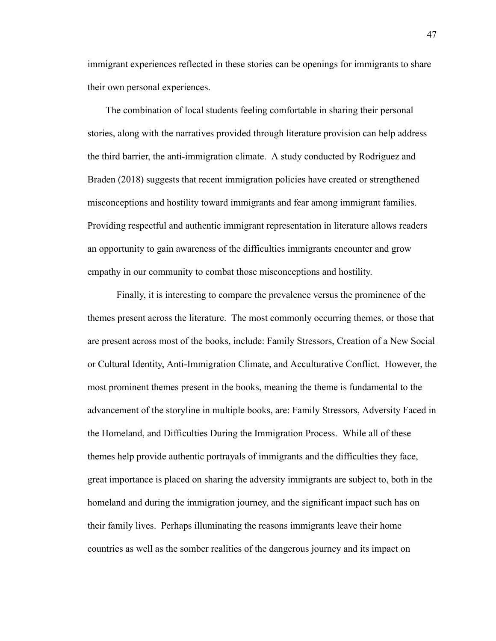immigrant experiences reflected in these stories can be openings for immigrants to share their own personal experiences.

The combination of local students feeling comfortable in sharing their personal stories, along with the narratives provided through literature provision can help address the third barrier, the anti-immigration climate. A study conducted by Rodriguez and Braden (2018) suggests that recent immigration policies have created or strengthened misconceptions and hostility toward immigrants and fear among immigrant families. Providing respectful and authentic immigrant representation in literature allows readers an opportunity to gain awareness of the difficulties immigrants encounter and grow empathy in our community to combat those misconceptions and hostility.

Finally, it is interesting to compare the prevalence versus the prominence of the themes present across the literature. The most commonly occurring themes, or those that are present across most of the books, include: Family Stressors, Creation of a New Social or Cultural Identity, Anti-Immigration Climate, and Acculturative Conflict. However, the most prominent themes present in the books, meaning the theme is fundamental to the advancement of the storyline in multiple books, are: Family Stressors, Adversity Faced in the Homeland, and Difficulties During the Immigration Process. While all of these themes help provide authentic portrayals of immigrants and the difficulties they face, great importance is placed on sharing the adversity immigrants are subject to, both in the homeland and during the immigration journey, and the significant impact such has on their family lives. Perhaps illuminating the reasons immigrants leave their home countries as well as the somber realities of the dangerous journey and its impact on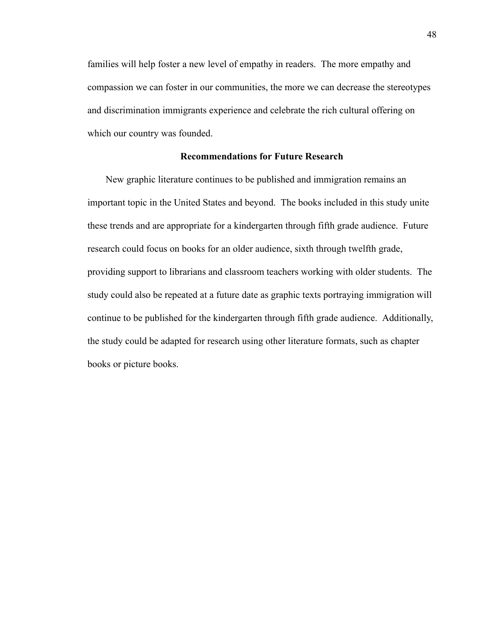families will help foster a new level of empathy in readers. The more empathy and compassion we can foster in our communities, the more we can decrease the stereotypes and discrimination immigrants experience and celebrate the rich cultural offering on which our country was founded.

### **Recommendations for Future Research**

New graphic literature continues to be published and immigration remains an important topic in the United States and beyond. The books included in this study unite these trends and are appropriate for a kindergarten through fifth grade audience. Future research could focus on books for an older audience, sixth through twelfth grade, providing support to librarians and classroom teachers working with older students. The study could also be repeated at a future date as graphic texts portraying immigration will continue to be published for the kindergarten through fifth grade audience. Additionally, the study could be adapted for research using other literature formats, such as chapter books or picture books.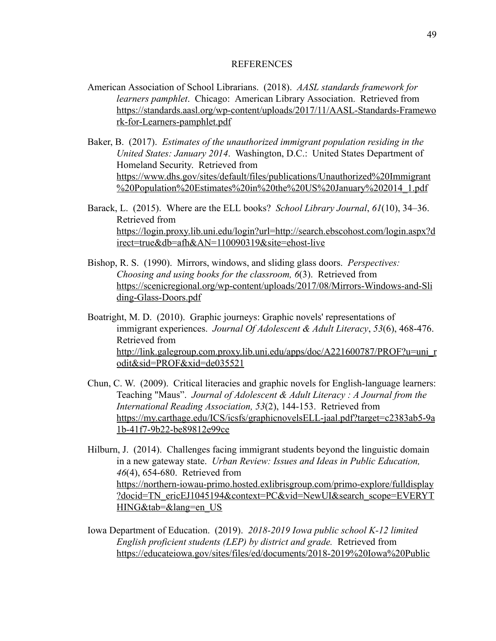#### REFERENCES

- American Association of School Librarians. (2018). *AASL standards framework for learners pamphlet* . Chicago: American Library Association. Retrieved from [https://standards.aasl.org/wp-content/uploads/2017/11/AASL-Standards-Framewo](https://standards.aasl.org/wp-content/uploads/2017/11/AASL-Standards-Framework-for-Learners-pamphlet.pdf) [rk-for-Learners-pamphlet.pdf](https://standards.aasl.org/wp-content/uploads/2017/11/AASL-Standards-Framework-for-Learners-pamphlet.pdf)
- Baker, B. (2017). *Estimates of the unauthorized immigrant population residing in the United States: January 2014* . Washington, D.C.: United States Department of Homeland Security. Retrieved from [https://www.dhs.gov/sites/default/files/publications/Unauthorized%20Immigrant](https://www.dhs.gov/sites/default/files/publications/Unauthorized%20Immigrant%20Population%20Estimates%20in%20the%20US%20January%202014_1.pdf)  [%20Population%20Estimates%20in%20the%20US%20January%202014\\_1.pdf](https://www.dhs.gov/sites/default/files/publications/Unauthorized%20Immigrant%20Population%20Estimates%20in%20the%20US%20January%202014_1.pdf)
- Barack, L. (2015). Where are the ELL books? *School Library Journal*, 61(10), 34–36. Retrieved from [https://login.proxy.lib.uni.edu/login?url=http://search.ebscohost.com/login.aspx?d](https://login.proxy.lib.uni.edu/login?url=http://search.ebscohost.com/login.aspx?direct=true&db=afh&AN=110090319&site=ehost-live)  [irect=true&db=afh&AN=110090319&site=ehost-live](https://login.proxy.lib.uni.edu/login?url=http://search.ebscohost.com/login.aspx?direct=true&db=afh&AN=110090319&site=ehost-live)
- Bishop, R. S. (1990). Mirrors, windows, and sliding glass doors. *Perspectives: Choosing and using books for the classroom, 6(3).* Retrieved from [https://scenicregional.org/wp-content/uploads/2017/08/Mirrors-Windows-and-Sli](https://scenicregional.org/wp-content/uploads/2017/08/Mirrors-Windows-and-Sliding-Glass-Doors.pdf) [ding-Glass-Doors.pdf](https://scenicregional.org/wp-content/uploads/2017/08/Mirrors-Windows-and-Sliding-Glass-Doors.pdf)
- Boatright, M. D. (2010). Graphic journeys: Graphic novels' representations of immigrant experiences. *Journal Of Adolescent & Adult Literacy* , *53* (6), 468-476. Retrieved from [http://link.galegroup.com.proxy.lib.uni.edu/apps/doc/A221600787/PROF?u=uni\\_r](http://link.galegroup.com.proxy.lib.uni.edu/apps/doc/A221600787/PROF?u=uni_rodit&sid=PROF&xid=de035521) [odit&sid=PROF&xid=de035521](http://link.galegroup.com.proxy.lib.uni.edu/apps/doc/A221600787/PROF?u=uni_rodit&sid=PROF&xid=de035521)
- Chun, C. W. (2009). Critical literacies and graphic novels for English-language learners: Teaching "Maus". *Journal of Adolescent & Adult Literacy : A Journal from the International Reading Association, 53* (2), 144-153. Retrieved from [https://my.carthage.edu/ICS/icsfs/graphicnovelsELL-jaal.pdf?target=c2383ab5-9a](https://my.carthage.edu/ICS/icsfs/graphicnovelsELL-jaal.pdf?target=c2383ab5-9a1b-41f7-9b22-be89812e99ce) [1b-41f7-9b22-be89812e99ce](https://my.carthage.edu/ICS/icsfs/graphicnovelsELL-jaal.pdf?target=c2383ab5-9a1b-41f7-9b22-be89812e99ce)
- Hilburn, J. (2014). Challenges facing immigrant students beyond the linguistic domain in a new gateway state. *Urban Review: Issues and Ideas in Public Education, 46* (4), 654-680. Retrieved from [https://northern-iowau-primo.hosted.exlibrisgroup.com/primo-explore/fulldisplay](https://northern-iowau-primo.hosted.exlibrisgroup.com/primo-explore/fulldisplay?docid=TN_ericEJ1045194&context=PC&vid=NewUI&search_scope=EVERYTHING&tab=&lang=en_US)  [?docid=TN\\_ericEJ1045194&context=PC&vid=NewUI&search\\_scope=EVERYT](https://northern-iowau-primo.hosted.exlibrisgroup.com/primo-explore/fulldisplay?docid=TN_ericEJ1045194&context=PC&vid=NewUI&search_scope=EVERYTHING&tab=&lang=en_US) [HING&tab=&lang=en\\_US](https://northern-iowau-primo.hosted.exlibrisgroup.com/primo-explore/fulldisplay?docid=TN_ericEJ1045194&context=PC&vid=NewUI&search_scope=EVERYTHING&tab=&lang=en_US)
- Iowa Department of Education. (2019). *2018-2019 Iowa public school K-12 limited English proficient students (LEP) by district and grade.* Retrieved from [https://educateiowa.gov/sites/files/ed/documents/2018-2019%20Iowa%20Public](https://educateiowa.gov/sites/files/ed/documents/2018-2019%20Iowa%20Public%20School%20K-12%20Limited%20English%20Proficient%20Students%20%28LEP%29%20by%20District%20and%20Grade.xlsx)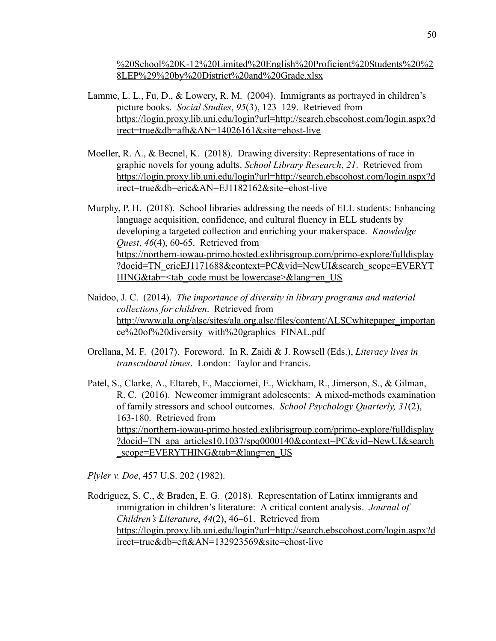[%20School%20K-12%20Limited%20English%20Proficient%20Students%20%2](https://educateiowa.gov/sites/files/ed/documents/2018-2019%20Iowa%20Public%20School%20K-12%20Limited%20English%20Proficient%20Students%20%28LEP%29%20by%20District%20and%20Grade.xlsx)  [8LEP%29%20by%20District%20and%20Grade.xlsx](https://educateiowa.gov/sites/files/ed/documents/2018-2019%20Iowa%20Public%20School%20K-12%20Limited%20English%20Proficient%20Students%20%28LEP%29%20by%20District%20and%20Grade.xlsx) 

- Lamme, L. L., Fu, D., & Lowery, R. M. (2004). Immigrants as portrayed in children's picture books. *Social Studies* , *95* (3), 123–129. Retrieved from [https://login.proxy.lib.uni.edu/login?url=http://search.ebscohost.com/login.aspx?d](https://login.proxy.lib.uni.edu/login?url=http://search.ebscohost.com/login.aspx?direct=true&db=afh&AN=14026161&site=ehost-live)  [irect=true&db=afh&AN=14026161&site=ehost-live](https://login.proxy.lib.uni.edu/login?url=http://search.ebscohost.com/login.aspx?direct=true&db=afh&AN=14026161&site=ehost-live)
- Moeller, R. A., & Becnel, K. (2018). Drawing diversity: Representations of race in graphic novels for young adults. *School Library Research* , *21* . Retrieved from [https://login.proxy.lib.uni.edu/login?url=http://search.ebscohost.com/login.aspx?d](https://login.proxy.lib.uni.edu/login?url=http://search.ebscohost.com/login.aspx?direct=true&db=eric&AN=EJ1182162&site=ehost-live)  [irect=true&db=eric&AN=EJ1182162&site=ehost-live](https://login.proxy.lib.uni.edu/login?url=http://search.ebscohost.com/login.aspx?direct=true&db=eric&AN=EJ1182162&site=ehost-live)
- Murphy, P. H. (2018). School libraries addressing the needs of ELL students: Enhancing language acquisition, confidence, and cultural fluency in ELL students by developing a targeted collection and enriching your makerspace. *Knowledge Quest, 46(4), 60-65.* Retrieved from [https://northern-iowau-primo.hosted.exlibrisgroup.com/primo-explore/fulldisplay](https://northern-iowau-primo.hosted.exlibrisgroup.com/primo-explore/fulldisplay?docid=TN_ericEJ1171688&context=PC&vid=NewUI&search_scope=EVERYTHING&tab=)  ?docid=TN\_ericEJ1171688&context=PC&vid=NewUI&search\_scope=EVERYT HING&tab=<tab\_code must be lowercase>&lang=en\_US
- Naidoo, J. C. (2014). *The importance of diversity in library programs and material collections for children* . Retrieved from http://www.ala.org/alsc/sites/al<u>a.org.alsc/files/content/ALSCwhitepaper\_importan</u> [ce%20of%20diversity\\_with%20graphics\\_FINAL.pdf](http://www.ala.org/alsc/sites/ala.org.alsc/files/content/ALSCwhitepaper_importance%20of%20diversity_with%20graphics_FINAL.pdf)
- Orellana, M. F. (2017). Foreword. In R. Zaidi & J. Rowsell (Eds.), *Literacy lives in transcultural times* . London: Taylor and Francis.

Patel, S., Clarke, A., Eltareb, F., Macciomei, E., Wickham, R., Jimerson, S., & Gilman, R. C. (2016). Newcomer immigrant adolescents: A mixed-methods examination of family stressors and school outcomes. *School Psychology Quarterly, 31* (2), 163-180. Retrieved from [https://northern-iowau-primo.hosted.exlibrisgroup.com/primo-explore/fulldisplay](https://northern-iowau-primo.hosted.exlibrisgroup.com/primo-explore/fulldisplay?docid=TN_apa_articles10.1037/spq0000140&context=PC&vid=NewUI&search_scope=EVERYTHING&tab=&lang=en_US)  ?docid=TN apa\_articles10.1037/spq0000140&context=PC&vid=NewUI&search [\\_scope=EVERYTHING&tab=&lang=en\\_US](https://northern-iowau-primo.hosted.exlibrisgroup.com/primo-explore/fulldisplay?docid=TN_apa_articles10.1037/spq0000140&context=PC&vid=NewUI&search_scope=EVERYTHING&tab=&lang=en_US) 

*Plyler v. Doe* , 457 U.S. 202 (1982).

Rodriguez, S. C., & Braden, E. G. (2018). Representation of Latinx immigrants and immigration in children's literature: A critical content analysis. *Journal of Children's Literature, 44(2), 46–61.* Retrieved from [https://login.proxy.lib.uni.edu/login?url=http://search.ebscohost.com/login.aspx?d](https://login.proxy.lib.uni.edu/login?url=http://search.ebscohost.com/login.aspx?direct=true&db=eft&AN=132923569&site=ehost-live)  [irect=true&db=eft&AN=132923569&site=ehost-live](https://login.proxy.lib.uni.edu/login?url=http://search.ebscohost.com/login.aspx?direct=true&db=eft&AN=132923569&site=ehost-live)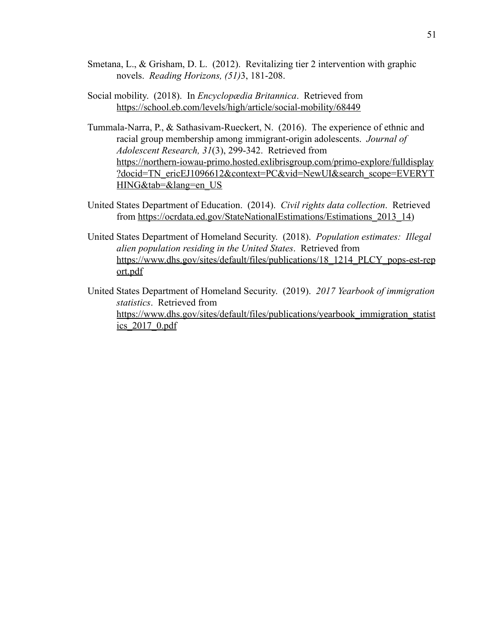- Smetana, L., & Grisham, D. L. (2012). Revitalizing tier 2 intervention with graphic novels. *Reading Horizons, (51)* 3, 181-208.
- Social mobility. (2018). In *Encyclopædia Britannica* . Retrieved from <https://school.eb.com/levels/high/article/social-mobility/68449>
- Tummala-Narra, P., & Sathasivam-Rueckert, N. (2016). The experience of ethnic and racial group membership among immigrant-origin adolescents. *Journal of Adolescent Research, 31* (3), 299-342. Retrieved from [https://northern-iowau-primo.hosted.exlibrisgroup.com/primo-explore/fulldisplay](https://northern-iowau-primo.hosted.exlibrisgroup.com/primo-explore/fulldisplay?docid=TN_ericEJ1096612&context=PC&vid=NewUI&search_scope=EVERYTHING&tab=&lang=en_US)  [?docid=TN\\_ericEJ1096612&context=PC&vid=NewUI&search\\_scope=EVERYT](https://northern-iowau-primo.hosted.exlibrisgroup.com/primo-explore/fulldisplay?docid=TN_ericEJ1096612&context=PC&vid=NewUI&search_scope=EVERYTHING&tab=&lang=en_US) [HING&tab=&lang=en\\_US](https://northern-iowau-primo.hosted.exlibrisgroup.com/primo-explore/fulldisplay?docid=TN_ericEJ1096612&context=PC&vid=NewUI&search_scope=EVERYTHING&tab=&lang=en_US)
- United States Department of Education. (2014). *Civil rights data collection* . Retrieved from https://ocrdata.ed.gov/StateNationalEstimations/Estimations 2013 14 )
- United States Department of Homeland Security. (2018). *Population estimates: Illegal alien population residing in the United States* . Retrieved from [https://www.dhs.gov/sites/default/files/publications/18\\_1214\\_PLCY\\_pops-est-rep](https://www.dhs.gov/sites/default/files/publications/18_1214_PLCY_pops-est-report.pdf)  [ort.pdf](https://www.dhs.gov/sites/default/files/publications/18_1214_PLCY_pops-est-report.pdf)
- United States Department of Homeland Security. (2019). *2017 Yearbook of immigration statistics* . Retrieved from [https://www.dhs.gov/sites/default/files/publications/yearbook\\_immigration\\_statist](https://www.dhs.gov/sites/default/files/publications/yearbook_immigration_statistics_2017_0.pdf)  [ics\\_2017\\_0.pdf](https://www.dhs.gov/sites/default/files/publications/yearbook_immigration_statistics_2017_0.pdf)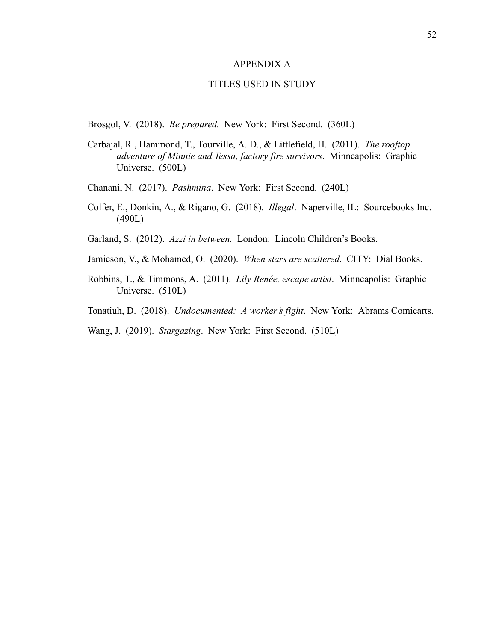#### APPENDIX A

#### TITLES USED IN STUDY

Brosgol, V. (2018). *Be prepared.* New York: First Second. (360L)

- Carbajal, R., Hammond, T., Tourville, A. D., & Littlefield, H. (2011). *The rooftop adventure of Minnie and Tessa, factory fire survivors* . Minneapolis: Graphic Universe. (500L)
- Chanani, N. (2017). *Pashmina* . New York: First Second. (240L)
- Colfer, E., Donkin, A., & Rigano, G. (2018). *Illegal* . Naperville, IL: Sourcebooks Inc. (490L)
- Garland, S. (2012). *Azzi in between.* London: Lincoln Children's Books.
- Jamieson, V., & Mohamed, O. (2020). *When stars are scattered* . CITY: Dial Books.
- Robbins, T., & Timmons, A. (2011). *Lily Renée, escape artist* . Minneapolis: Graphic Universe. (510L)
- Tonatiuh, D. (2018). *Undocumented: A worker's fight* . New York: Abrams Comicarts.
- Wang, J. (2019). *Stargazing*. New York: First Second. (510L)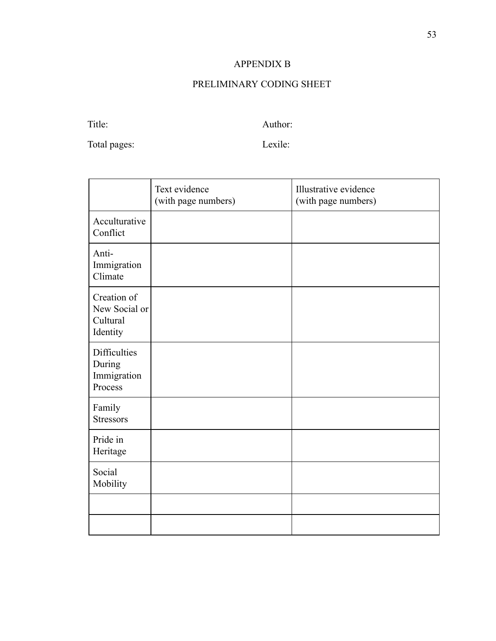# APPENDIX B

# [PRELIMINARY CODING SHEET](https://docs.google.com/document/d/1Y7TvE2eUuPH_Me7ODRL0-aImxbRUGzOYT253srTt3QU/edit?usp=sharing)

Title: Author:

Total pages: Lexile:

|                                                         | Text evidence<br>(with page numbers) | Illustrative evidence<br>(with page numbers) |
|---------------------------------------------------------|--------------------------------------|----------------------------------------------|
| Acculturative<br>Conflict                               |                                      |                                              |
| Anti-<br>Immigration<br>Climate                         |                                      |                                              |
| Creation of<br>New Social or<br>Cultural<br>Identity    |                                      |                                              |
| <b>Difficulties</b><br>During<br>Immigration<br>Process |                                      |                                              |
| Family<br><b>Stressors</b>                              |                                      |                                              |
| Pride in<br>Heritage                                    |                                      |                                              |
| Social<br>Mobility                                      |                                      |                                              |
|                                                         |                                      |                                              |
|                                                         |                                      |                                              |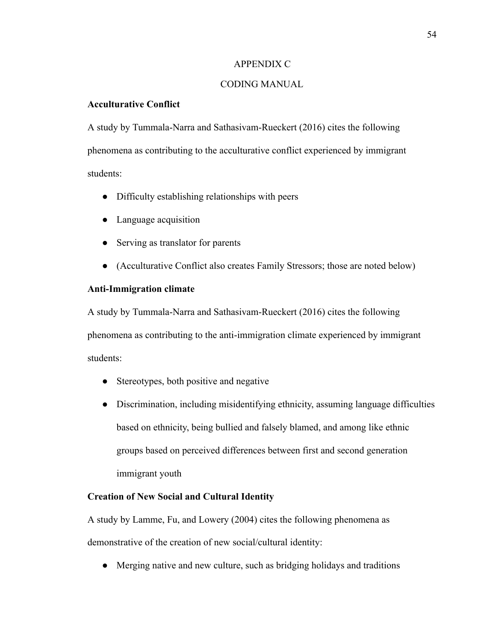#### APPENDIX C

# CODING MANUAL

# **Acculturative Conflict**

A study by Tummala-Narra and Sathasivam-Rueckert (2016) cites the following phenomena as contributing to the acculturative conflict experienced by immigrant students:

- Difficulty establishing relationships with peers
- Language acquisition
- Serving as translator for parents
- (Acculturative Conflict also creates Family Stressors; those are noted below)

#### **Anti-Immigration climate**

A study by Tummala-Narra and Sathasivam-Rueckert (2016) cites the following phenomena as contributing to the anti-immigration climate experienced by immigrant students:

- Stereotypes, both positive and negative
- Discrimination, including misidentifying ethnicity, assuming language difficulties based on ethnicity, being bullied and falsely blamed, and among like ethnic groups based on perceived differences between first and second generation immigrant youth

#### **Creation of New Social and Cultural Identity**

A study by Lamme, Fu, and Lowery (2004) cites the following phenomena as demonstrative of the creation of new social/cultural identity:

• Merging native and new culture, such as bridging holidays and traditions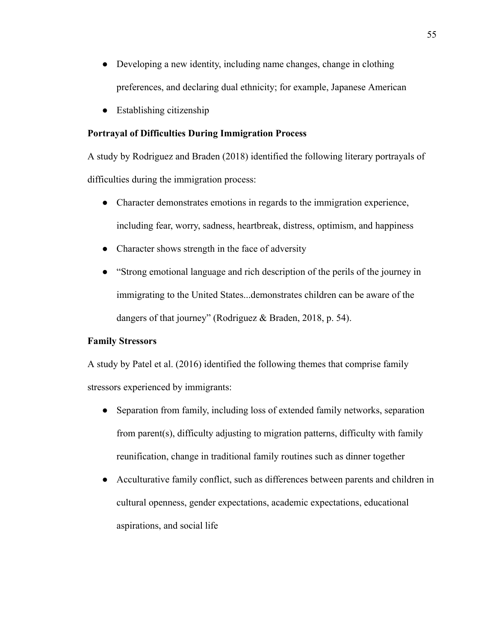- Developing a new identity, including name changes, change in clothing preferences, and declaring dual ethnicity; for example, Japanese American
- Establishing citizenship

## **Portrayal of Difficulties During Immigration Process**

A study by Rodriguez and Braden (2018) identified the following literary portrayals of difficulties during the immigration process:

- Character demonstrates emotions in regards to the immigration experience, including fear, worry, sadness, heartbreak, distress, optimism, and happiness
- Character shows strength in the face of adversity
- "Strong emotional language and rich description of the perils of the journey in immigrating to the United States...demonstrates children can be aware of the dangers of that journey" (Rodriguez & Braden, 2018, p. 54).

#### **Family Stressors**

A study by Patel et al. (2016) identified the following themes that comprise family stressors experienced by immigrants:

- Separation from family, including loss of extended family networks, separation from parent(s), difficulty adjusting to migration patterns, difficulty with family reunification, change in traditional family routines such as dinner together
- Acculturative family conflict, such as differences between parents and children in cultural openness, gender expectations, academic expectations, educational aspirations, and social life